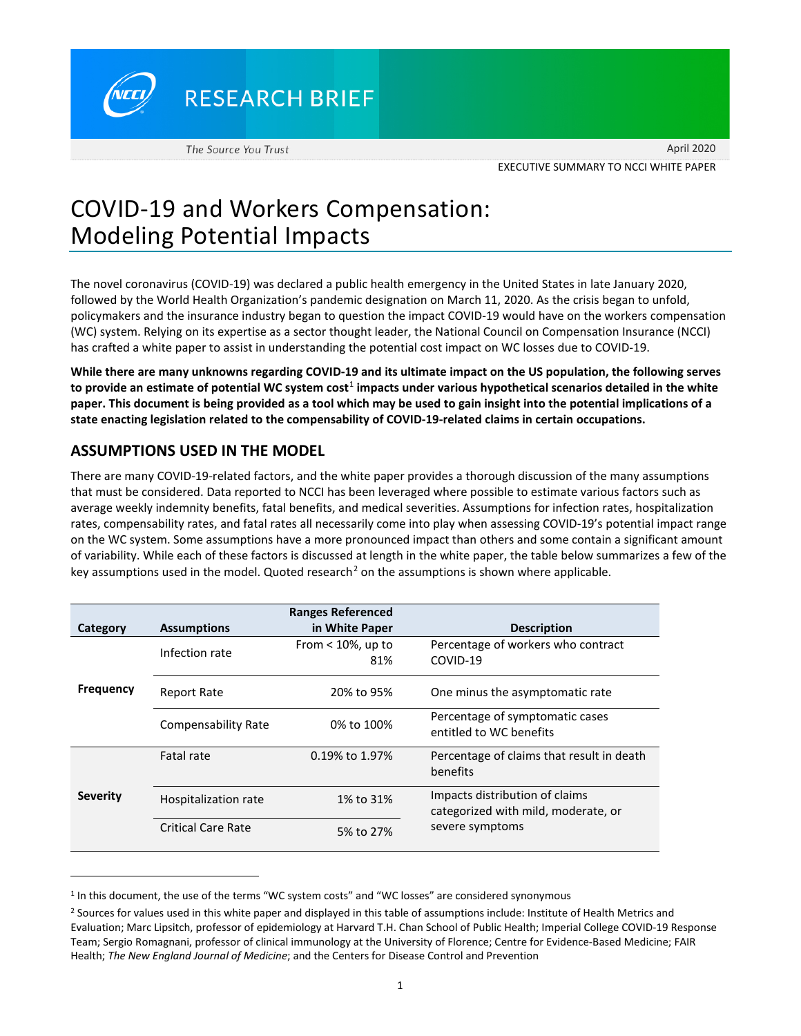**RESEARCH BRIEF** 

April 2020 EXECUTIVE SUMMARY TO NCCI WHITE PAPER

# COVID-19 and Workers Compensation: Modeling Potential Impacts

The novel coronavirus (COVID-19) was declared a public health emergency in the United States in late January 2020, followed by the World Health Organization's pandemic designation on March 11, 2020. As the crisis began to unfold, policymakers and the insurance industry began to question the impact COVID-19 would have on the workers compensation (WC) system. Relying on its expertise as a sector thought leader, the National Council on Compensation Insurance (NCCI) has crafted a white paper to assist in understanding the potential cost impact on WC losses due to COVID-19.

**While there are many unknowns regarding COVID-19 and its ultimate impact on the US population, the following serves to provide an estimate of potential WC system cost**[1](#page-0-0) **impacts under various hypothetical scenarios detailed in the white paper. This document is being provided as a tool which may be used to gain insight into the potential implications of a state enacting legislation related to the compensability of COVID-19-related claims in certain occupations.** 

### **ASSUMPTIONS USED IN THE MODEL**

There are many COVID-19-related factors, and the white paper provides a thorough discussion of the many assumptions that must be considered. Data reported to NCCI has been leveraged where possible to estimate various factors such as average weekly indemnity benefits, fatal benefits, and medical severities. Assumptions for infection rates, hospitalization rates, compensability rates, and fatal rates all necessarily come into play when assessing COVID-19's potential impact range on the WC system. Some assumptions have a more pronounced impact than others and some contain a significant amount of variability. While each of these factors is discussed at length in the white paper, the table below summarizes a few of the key assumptions used in the model. Quoted research<sup>[2](#page-0-1)</sup> on the assumptions is shown where applicable.

|                  |                            | <b>Ranges Referenced</b>   |                                                                       |
|------------------|----------------------------|----------------------------|-----------------------------------------------------------------------|
| Category         | <b>Assumptions</b>         | in White Paper             | <b>Description</b>                                                    |
| <b>Frequency</b> | Infection rate             | From $<$ 10%, up to<br>81% | Percentage of workers who contract<br>COVID-19                        |
|                  | <b>Report Rate</b>         | 20% to 95%                 | One minus the asymptomatic rate                                       |
|                  | <b>Compensability Rate</b> | 0% to 100%                 | Percentage of symptomatic cases<br>entitled to WC benefits            |
|                  | Fatal rate                 | 0.19% to 1.97%             | Percentage of claims that result in death<br>benefits                 |
| <b>Severity</b>  | Hospitalization rate       | 1% to 31%                  | Impacts distribution of claims<br>categorized with mild, moderate, or |
|                  | <b>Critical Care Rate</b>  | 5% to 27%                  | severe symptoms                                                       |

<span id="page-0-0"></span><sup>1</sup> In this document, the use of the terms "WC system costs" and "WC losses" are considered synonymous

<span id="page-0-1"></span><sup>&</sup>lt;sup>2</sup> Sources for values used in this white paper and displayed in this table of assumptions include: Institute of Health Metrics and Evaluation; Marc Lipsitch, professor of epidemiology at Harvard T.H. Chan School of Public Health; Imperial College COVID-19 Response Team; Sergio Romagnani, professor of clinical immunology at the University of Florence; Centre for Evidence-Based Medicine; FAIR Health; *The New England Journal of Medicine*; and the Centers for Disease Control and Prevention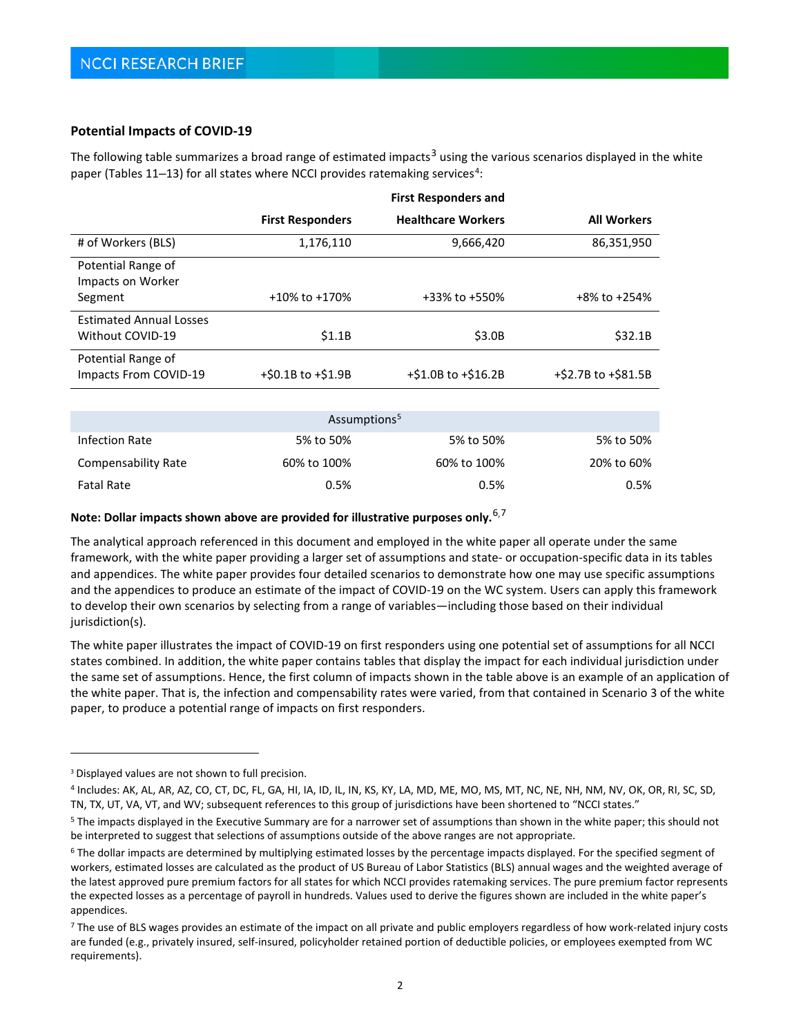### **Potential Impacts of COVID-19**

The following table summarizes a broad range of estimated impacts<sup>[3](#page-1-0)</sup> using the various scenarios displayed in the white paper (Tables 11-13) for all states where NCCI provides ratemaking services<sup>[4](#page-1-1)</sup>:

|                                                    | <b>First Responders and</b> |                           |                     |
|----------------------------------------------------|-----------------------------|---------------------------|---------------------|
|                                                    | <b>First Responders</b>     | <b>Healthcare Workers</b> | <b>All Workers</b>  |
| # of Workers (BLS)                                 | 1,176,110                   | 9,666,420                 | 86,351,950          |
| Potential Range of<br>Impacts on Worker            |                             |                           |                     |
| Segment                                            | $+10\%$ to $+170\%$         | +33% to +550%             | $+8\%$ to $+254\%$  |
| <b>Estimated Annual Losses</b><br>Without COVID-19 | \$1.1B                      | \$3.0B                    | \$32.1B             |
| Potential Range of<br>Impacts From COVID-19        | $+$ \$0.1B to $+$ \$1.9B    | +\$1.0B to +\$16.2B       | +\$2.7B to +\$81.5B |
|                                                    |                             |                           |                     |
|                                                    | Assumptions <sup>5</sup>    |                           |                     |
| Infection Rate                                     | 5% to 50%                   | 5% to 50%                 | 5% to 50%           |
| Compensability Rate                                | 60% to 100%                 | 60% to 100%               | 20% to 60%          |
| <b>Fatal Rate</b>                                  | 0.5%                        | 0.5%                      | 0.5%                |

### **Note: Dollar impacts shown above are provided for illustrative purposes only.** [6,](#page-1-3)[7](#page-1-4)

The analytical approach referenced in this document and employed in the white paper all operate under the same framework, with the white paper providing a larger set of assumptions and state- or occupation-specific data in its tables and appendices. The white paper provides four detailed scenarios to demonstrate how one may use specific assumptions and the appendices to produce an estimate of the impact of COVID-19 on the WC system. Users can apply this framework to develop their own scenarios by selecting from a range of variables—including those based on their individual jurisdiction(s).

The white paper illustrates the impact of COVID-19 on first responders using one potential set of assumptions for all NCCI states combined. In addition, the white paper contains tables that display the impact for each individual jurisdiction under the same set of assumptions. Hence, the first column of impacts shown in the table above is an example of an application of the white paper. That is, the infection and compensability rates were varied, from that contained in Scenario 3 of the white paper, to produce a potential range of impacts on first responders.

<span id="page-1-0"></span><sup>&</sup>lt;sup>3</sup> Displayed values are not shown to full precision.

<span id="page-1-1"></span><sup>4</sup> Includes: AK, AL, AR, AZ, CO, CT, DC, FL, GA, HI, IA, ID, IL, IN, KS, KY, LA, MD, ME, MO, MS, MT, NC, NE, NH, NM, NV, OK, OR, RI, SC, SD, TN, TX, UT, VA, VT, and WV; subsequent references to this group of jurisdictions have been shortened to "NCCI states."

<span id="page-1-2"></span><sup>&</sup>lt;sup>5</sup> The impacts displayed in the Executive Summary are for a narrower set of assumptions than shown in the white paper; this should not be interpreted to suggest that selections of assumptions outside of the above ranges are not appropriate.

<span id="page-1-3"></span> $6$  The dollar impacts are determined by multiplying estimated losses by the percentage impacts displayed. For the specified segment of workers, estimated losses are calculated as the product of US Bureau of Labor Statistics (BLS) annual wages and the weighted average of the latest approved pure premium factors for all states for which NCCI provides ratemaking services. The pure premium factor represents the expected losses as a percentage of payroll in hundreds. Values used to derive the figures shown are included in the white paper's appendices.

<span id="page-1-4"></span><sup>&</sup>lt;sup>7</sup> The use of BLS wages provides an estimate of the impact on all private and public employers regardless of how work-related injury costs are funded (e.g., privately insured, self-insured, policyholder retained portion of deductible policies, or employees exempted from WC requirements).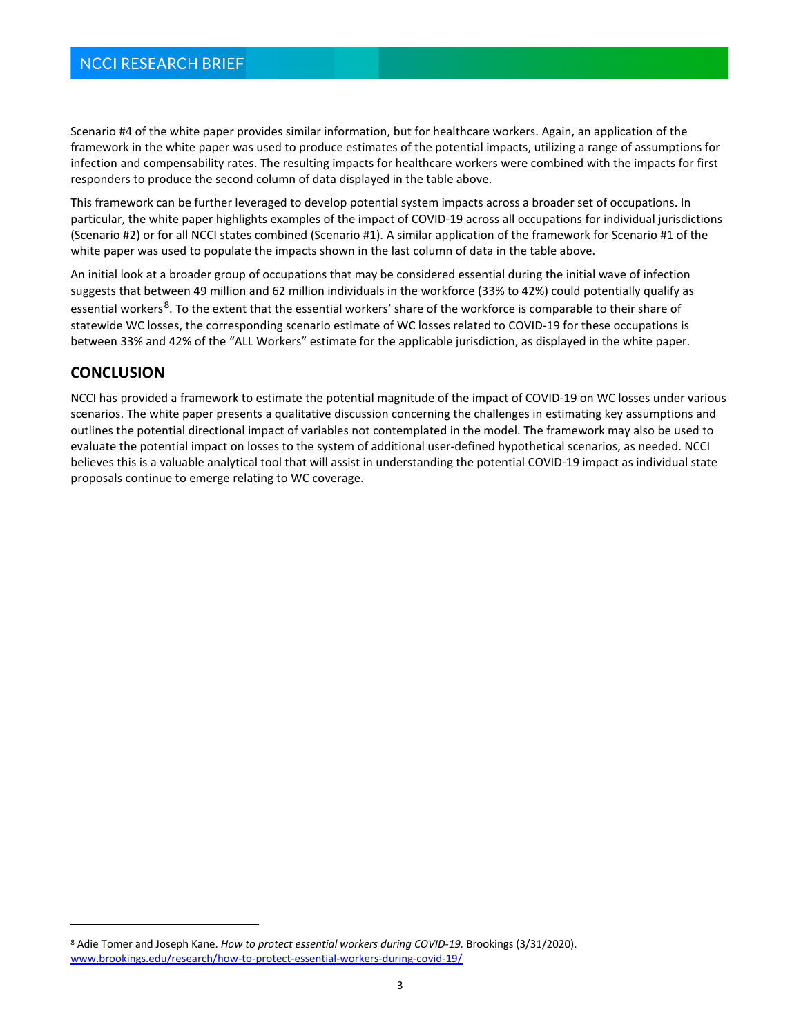Scenario #4 of the white paper provides similar information, but for healthcare workers. Again, an application of the framework in the white paper was used to produce estimates of the potential impacts, utilizing a range of assumptions for infection and compensability rates. The resulting impacts for healthcare workers were combined with the impacts for first responders to produce the second column of data displayed in the table above.

This framework can be further leveraged to develop potential system impacts across a broader set of occupations. In particular, the white paper highlights examples of the impact of COVID-19 across all occupations for individual jurisdictions (Scenario #2) or for all NCCI states combined (Scenario #1). A similar application of the framework for Scenario #1 of the white paper was used to populate the impacts shown in the last column of data in the table above.

An initial look at a broader group of occupations that may be considered essential during the initial wave of infection suggests that between 49 million and 62 million individuals in the workforce (33% to 42%) could potentially qualify as essential workers<sup>[8](#page-2-0)</sup>. To the extent that the essential workers' share of the workforce is comparable to their share of statewide WC losses, the corresponding scenario estimate of WC losses related to COVID-19 for these occupations is between 33% and 42% of the "ALL Workers" estimate for the applicable jurisdiction, as displayed in the white paper.

### **CONCLUSION**

NCCI has provided a framework to estimate the potential magnitude of the impact of COVID-19 on WC losses under various scenarios. The white paper presents a qualitative discussion concerning the challenges in estimating key assumptions and outlines the potential directional impact of variables not contemplated in the model. The framework may also be used to evaluate the potential impact on losses to the system of additional user-defined hypothetical scenarios, as needed. NCCI believes this is a valuable analytical tool that will assist in understanding the potential COVID-19 impact as individual state proposals continue to emerge relating to WC coverage.

<span id="page-2-0"></span><sup>8</sup> Adie Tomer and Joseph Kane. *How to protect essential workers during COVID-19.* Brookings (3/31/2020). www.brookings.edu/research/how-to-protect-essential-workers-during-covid-19/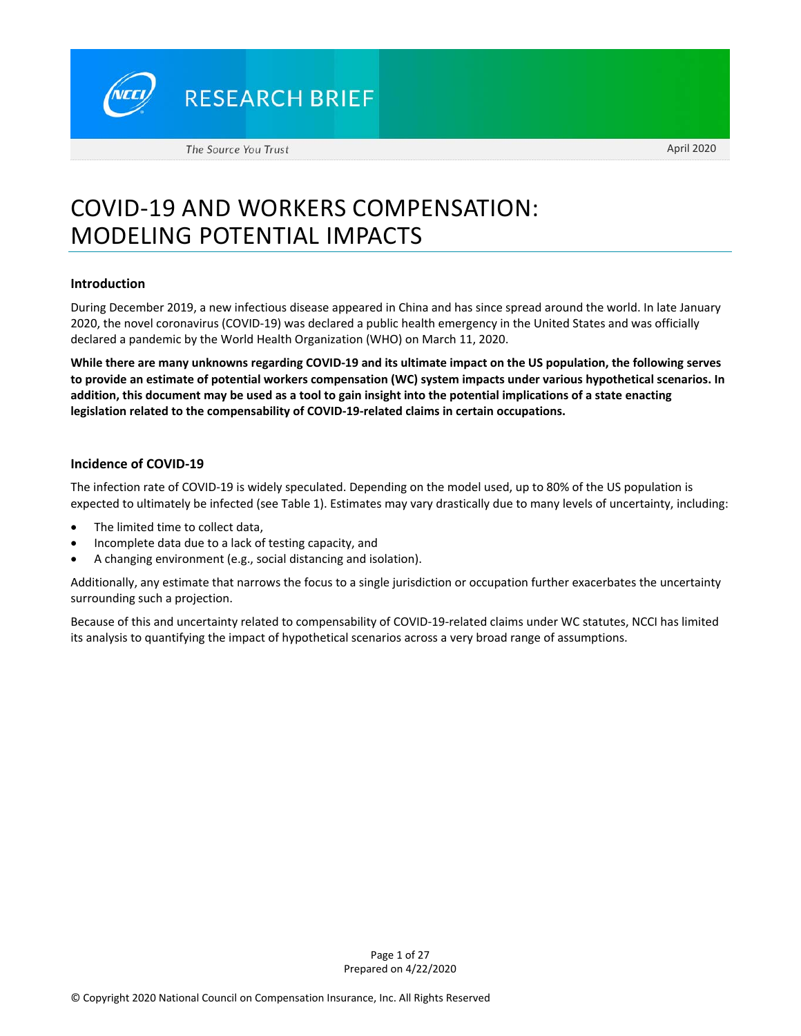**RESEARCH BRIEF** 

April 2020

# COVID‐19 AND WORKERS COMPENSATION: MODELING POTENTIAL IMPACTS

### **Introduction**

During December 2019, a new infectious disease appeared in China and has since spread around the world. In late January 2020, the novel coronavirus (COVID‐19) was declared a public health emergency in the United States and was officially declared a pandemic by the World Health Organization (WHO) on March 11, 2020.

**While there are many unknowns regarding COVID‐19 and its ultimate impact on the US population, the following serves to provide an estimate of potential workers compensation (WC) system impacts under various hypothetical scenarios. In addition, this document may be used as a tool to gain insight into the potential implications of a state enacting legislation related to the compensability of COVID‐19‐related claims in certain occupations.** 

### **Incidence of COVID‐19**

The infection rate of COVID‐19 is widely speculated. Depending on the model used, up to 80% of the US population is expected to ultimately be infected (see Table 1). Estimates may vary drastically due to many levels of uncertainty, including:

- The limited time to collect data,
- Incomplete data due to a lack of testing capacity, and
- A changing environment (e.g., social distancing and isolation).

Additionally, any estimate that narrows the focus to a single jurisdiction or occupation further exacerbates the uncertainty surrounding such a projection.

Because of this and uncertainty related to compensability of COVID‐19‐related claims under WC statutes, NCCI has limited its analysis to quantifying the impact of hypothetical scenarios across a very broad range of assumptions.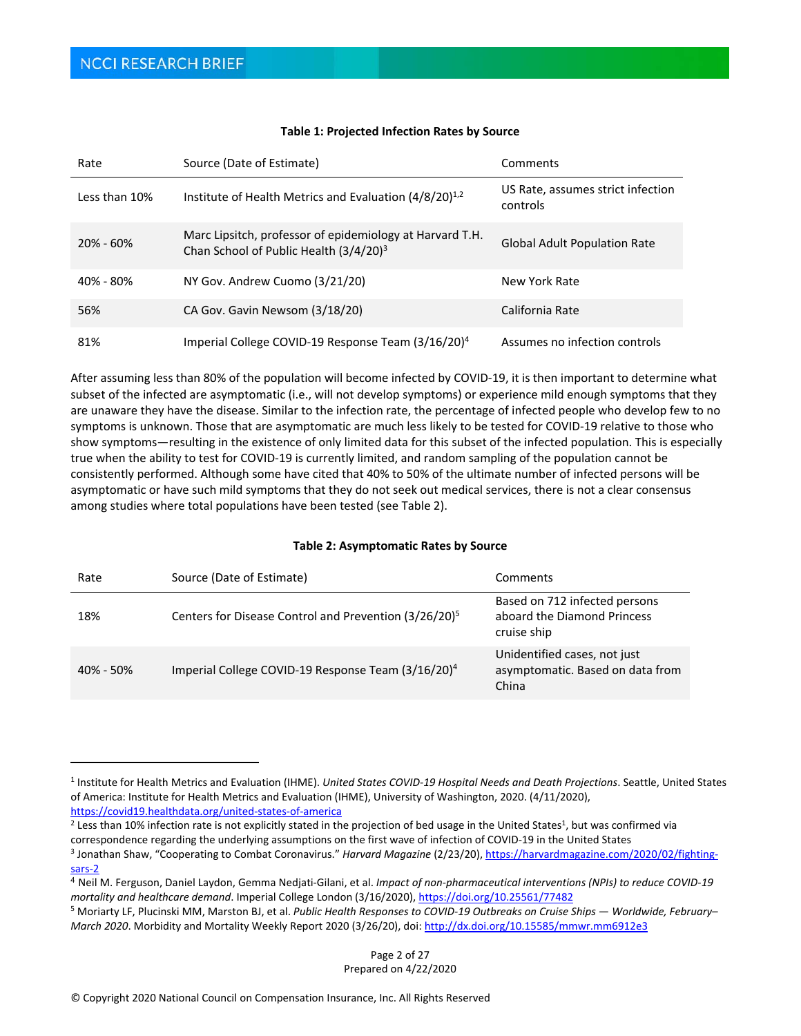| Rate          | Source (Date of Estimate)                                                                                      | Comments                                      |
|---------------|----------------------------------------------------------------------------------------------------------------|-----------------------------------------------|
| Less than 10% | Institute of Health Metrics and Evaluation $(4/8/20)^{1/2}$                                                    | US Rate, assumes strict infection<br>controls |
| $20\% - 60\%$ | Marc Lipsitch, professor of epidemiology at Harvard T.H.<br>Chan School of Public Health (3/4/20) <sup>3</sup> | <b>Global Adult Population Rate</b>           |
| 40% - 80%     | NY Gov. Andrew Cuomo (3/21/20)                                                                                 | New York Rate                                 |
| 56%           | CA Gov. Gavin Newsom (3/18/20)                                                                                 | California Rate                               |
| 81%           | Imperial College COVID-19 Response Team (3/16/20) <sup>4</sup>                                                 | Assumes no infection controls                 |

#### **Table 1: Projected Infection Rates by Source**

After assuming less than 80% of the population will become infected by COVID‐19, it is then important to determine what subset of the infected are asymptomatic (i.e., will not develop symptoms) or experience mild enough symptoms that they are unaware they have the disease. Similar to the infection rate, the percentage of infected people who develop few to no symptoms is unknown. Those that are asymptomatic are much less likely to be tested for COVID‐19 relative to those who show symptoms—resulting in the existence of only limited data for this subset of the infected population. This is especially true when the ability to test for COVID‐19 is currently limited, and random sampling of the population cannot be consistently performed. Although some have cited that 40% to 50% of the ultimate number of infected persons will be asymptomatic or have such mild symptoms that they do not seek out medical services, there is not a clear consensus among studies where total populations have been tested (see Table 2).

### **Table 2: Asymptomatic Rates by Source**

| Rate          | Source (Date of Estimate)                                         | Comments                                                                    |
|---------------|-------------------------------------------------------------------|-----------------------------------------------------------------------------|
| 18%           | Centers for Disease Control and Prevention (3/26/20) <sup>5</sup> | Based on 712 infected persons<br>aboard the Diamond Princess<br>cruise ship |
| $40\% - 50\%$ | Imperial College COVID-19 Response Team (3/16/20) <sup>4</sup>    | Unidentified cases, not just<br>asymptomatic. Based on data from<br>China   |

- $2$  Less than 10% infection rate is not explicitly stated in the projection of bed usage in the United States<sup>1</sup>, but was confirmed via correspondence regarding the underlying assumptions on the first wave of infection of COVID‐19 in the United States
- 3 Jonathan Shaw, "Cooperating to Combat Coronavirus." *Harvard Magazine* (2/23/20), https://harvardmagazine.com/2020/02/fighting‐ sars‐2

<sup>1</sup> Institute for Health Metrics and Evaluation (IHME). *United States COVID‐19 Hospital Needs and Death Projections*. Seattle, United States of America: Institute for Health Metrics and Evaluation (IHME), University of Washington, 2020. (4/11/2020), https://covid19.healthdata.org/united‐states‐of‐america

<sup>4</sup> Neil M. Ferguson, Daniel Laydon, Gemma Nedjati‐Gilani, et al. *Impact of non‐pharmaceutical interventions (NPIs) to reduce COVID‐19 mortality and healthcare demand*. Imperial College London (3/16/2020), https://doi.org/10.25561/77482

<sup>5</sup> Moriarty LF, Plucinski MM, Marston BJ, et al. *Public Health Responses to COVID‐19 Outbreaks on Cruise Ships — Worldwide, February– March 2020*. Morbidity and Mortality Weekly Report 2020 (3/26/20), doi: http://dx.doi.org/10.15585/mmwr.mm6912e3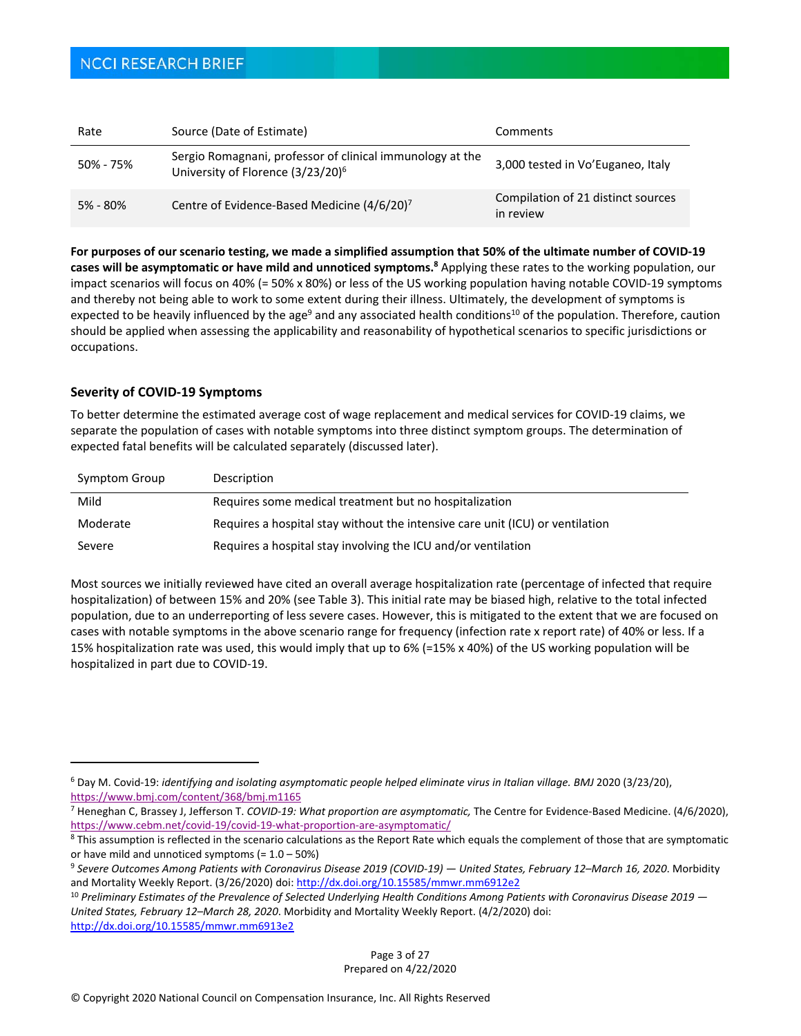### **NCCI RESEARCH BRIEF**

| Rate      | Source (Date of Estimate)                                                                                  | Comments                                        |
|-----------|------------------------------------------------------------------------------------------------------------|-------------------------------------------------|
| 50% - 75% | Sergio Romagnani, professor of clinical immunology at the<br>University of Florence (3/23/20) <sup>6</sup> | 3,000 tested in Vo'Euganeo, Italy               |
| 5% - 80%  | Centre of Evidence-Based Medicine (4/6/20) <sup>7</sup>                                                    | Compilation of 21 distinct sources<br>in review |

**For purposes of our scenario testing, we made a simplified assumption that 50% of the ultimate number of COVID‐19 cases will be asymptomatic or have mild and unnoticed symptoms.8** Applying these rates to the working population, our impact scenarios will focus on 40% (= 50% x 80%) or less of the US working population having notable COVID‐19 symptoms and thereby not being able to work to some extent during their illness. Ultimately, the development of symptoms is expected to be heavily influenced by the age<sup>9</sup> and any associated health conditions<sup>10</sup> of the population. Therefore, caution should be applied when assessing the applicability and reasonability of hypothetical scenarios to specific jurisdictions or occupations.

### **Severity of COVID‐19 Symptoms**

To better determine the estimated average cost of wage replacement and medical services for COVID‐19 claims, we separate the population of cases with notable symptoms into three distinct symptom groups. The determination of expected fatal benefits will be calculated separately (discussed later).

| Symptom Group | Description                                                                   |
|---------------|-------------------------------------------------------------------------------|
| Mild          | Requires some medical treatment but no hospitalization                        |
| Moderate      | Requires a hospital stay without the intensive care unit (ICU) or ventilation |
| Severe        | Requires a hospital stay involving the ICU and/or ventilation                 |

Most sources we initially reviewed have cited an overall average hospitalization rate (percentage of infected that require hospitalization) of between 15% and 20% (see Table 3). This initial rate may be biased high, relative to the total infected population, due to an underreporting of less severe cases. However, this is mitigated to the extent that we are focused on cases with notable symptoms in the above scenario range for frequency (infection rate x report rate) of 40% or less. If a 15% hospitalization rate was used, this would imply that up to 6% (=15% x 40%) of the US working population will be hospitalized in part due to COVID‐19.

<sup>6</sup> Day M. Covid‐19: *identifying and isolating asymptomatic people helped eliminate virus in Italian village. BMJ* 2020 (3/23/20), https://www.bmj.com/content/368/bmj.m1165

<sup>7</sup> Heneghan C, Brassey J, Jefferson T. *COVID‐19: What proportion are asymptomatic,* The Centre for Evidence‐Based Medicine. (4/6/2020), https://www.cebm.net/covid-19/covid-19-what-proportion-are-asymptomatic/

<sup>&</sup>lt;sup>8</sup> This assumption is reflected in the scenario calculations as the Report Rate which equals the complement of those that are symptomatic or have mild and unnoticed symptoms  $(= 1.0 - 50\%)$ 

<sup>9</sup> *Severe Outcomes Among Patients with Coronavirus Disease 2019 (COVID‐19) — United States, February 12–March 16, 2020*. Morbidity and Mortality Weekly Report. (3/26/2020) doi: http://dx.doi.org/10.15585/mmwr.mm6912e2

<sup>10</sup> *Preliminary Estimates of the Prevalence of Selected Underlying Health Conditions Among Patients with Coronavirus Disease 2019 — United States, February 12–March 28, 2020*. Morbidity and Mortality Weekly Report. (4/2/2020) doi: http://dx.doi.org/10.15585/mmwr.mm6913e2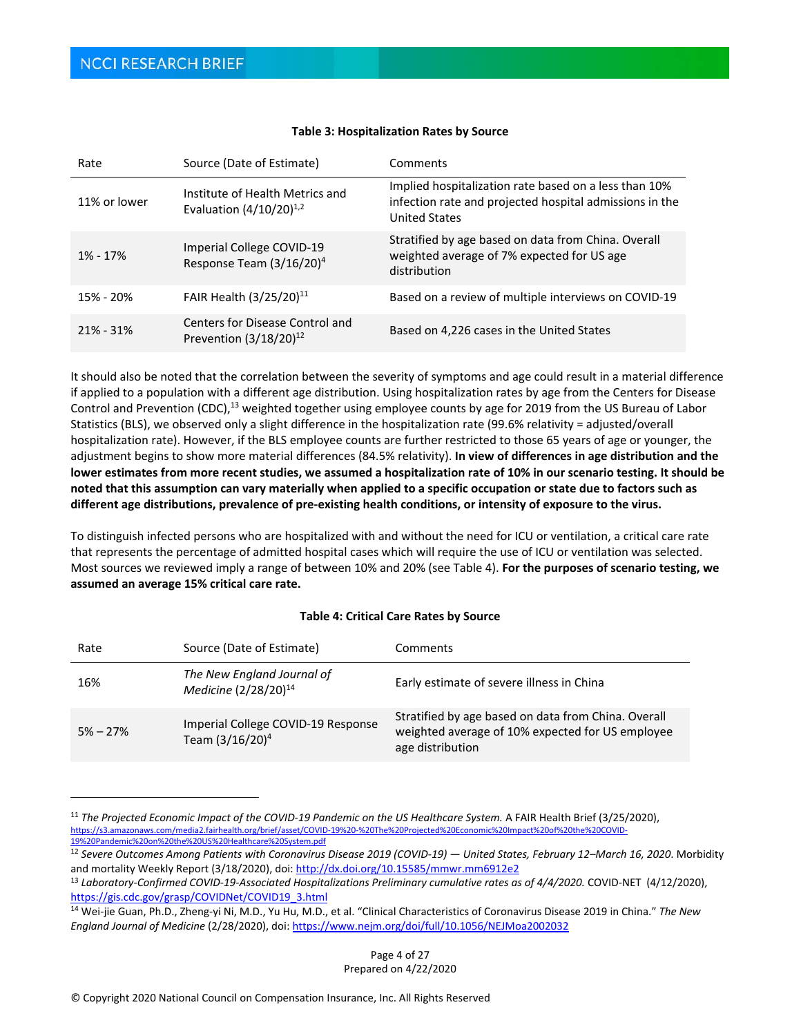| Rate          | Source (Date of Estimate)                                       | Comments                                                                                                                                 |
|---------------|-----------------------------------------------------------------|------------------------------------------------------------------------------------------------------------------------------------------|
| 11% or lower  | Institute of Health Metrics and<br>Evaluation $(4/10/20)^{1/2}$ | Implied hospitalization rate based on a less than 10%<br>infection rate and projected hospital admissions in the<br><b>United States</b> |
| $1\% - 17\%$  | Imperial College COVID-19<br>Response Team $(3/16/20)^4$        | Stratified by age based on data from China. Overall<br>weighted average of 7% expected for US age<br>distribution                        |
| 15% - 20%     | FAIR Health (3/25/20) <sup>11</sup>                             | Based on a review of multiple interviews on COVID-19                                                                                     |
| $21\% - 31\%$ | Centers for Disease Control and<br>Prevention $(3/18/20)^{12}$  | Based on 4,226 cases in the United States                                                                                                |

#### **Table 3: Hospitalization Rates by Source**

It should also be noted that the correlation between the severity of symptoms and age could result in a material difference if applied to a population with a different age distribution. Using hospitalization rates by age from the Centers for Disease Control and Prevention (CDC),<sup>13</sup> weighted together using employee counts by age for 2019 from the US Bureau of Labor Statistics (BLS), we observed only a slight difference in the hospitalization rate (99.6% relativity = adjusted/overall hospitalization rate). However, if the BLS employee counts are further restricted to those 65 years of age or younger, the adjustment begins to show more material differences (84.5% relativity). **In view of differences in age distribution and the lower estimates from more recent studies, we assumed a hospitalization rate of 10% in our scenario testing. It should be noted that this assumption can vary materially when applied to a specific occupation or state due to factors such as different age distributions, prevalence of pre‐existing health conditions, or intensity of exposure to the virus.**

To distinguish infected persons who are hospitalized with and without the need for ICU or ventilation, a critical care rate that represents the percentage of admitted hospital cases which will require the use of ICU or ventilation was selected. Most sources we reviewed imply a range of between 10% and 20% (see Table 4). **For the purposes of scenario testing, we assumed an average 15% critical care rate.** 

### **Table 4: Critical Care Rates by Source**

| Rate         | Source (Date of Estimate)                                         | Comments                                                                                                                    |
|--------------|-------------------------------------------------------------------|-----------------------------------------------------------------------------------------------------------------------------|
| 16%          | The New England Journal of<br>Medicine (2/28/20) <sup>14</sup>    | Early estimate of severe illness in China                                                                                   |
| $5\% - 27\%$ | Imperial College COVID-19 Response<br>Team (3/16/20) <sup>4</sup> | Stratified by age based on data from China. Overall<br>weighted average of 10% expected for US employee<br>age distribution |

<sup>11</sup> *The Projected Economic Impact of the COVID‐19 Pandemic on the US Healthcare System.* A FAIR Health Brief (3/25/2020), https://s3.amazonaws.com/media2.fairhealth.org/brief/asset/COVID‐19%20‐%20The%20Projected%20Economic%20Impact%20of%20the%20COVID‐ 19%20Pandemic%20on%20the%20US%20Healthcare%20System.pdf

Page 4 of 27 Prepared on 4/22/2020

<sup>12</sup> *Severe Outcomes Among Patients with Coronavirus Disease 2019 (COVID‐19) — United States, February 12–March 16, 2020*. Morbidity and mortality Weekly Report (3/18/2020), doi: http://dx.doi.org/10.15585/mmwr.mm6912e2

<sup>13</sup> *Laboratory‐Confirmed COVID‐19‐Associated Hospitalizations Preliminary cumulative rates as of 4/4/2020.* COVID‐NET (4/12/2020), https://gis.cdc.gov/grasp/COVIDNet/COVID19\_3.html

<sup>14</sup> Wei‐jie Guan, Ph.D., Zheng‐yi Ni, M.D., Yu Hu, M.D., et al. "Clinical Characteristics of Coronavirus Disease 2019 in China." *The New England Journal of Medicine* (2/28/2020), doi: https://www.nejm.org/doi/full/10.1056/NEJMoa2002032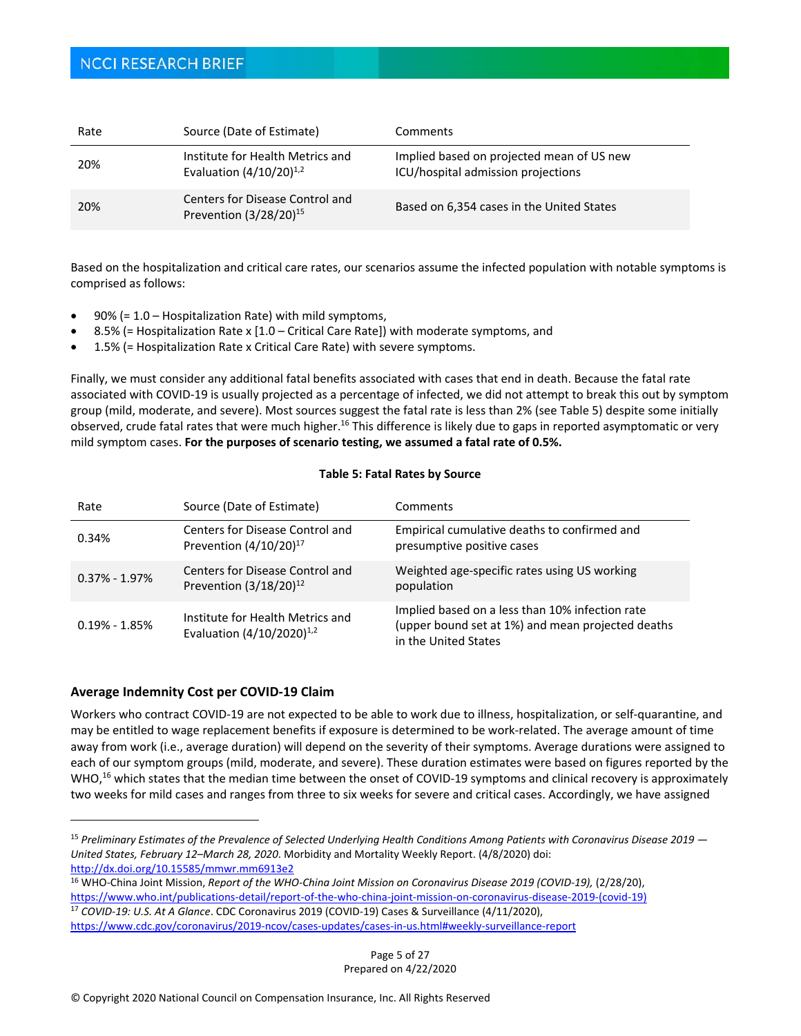## **NCCI RESEARCH BRIEF**

| Rate | Source (Date of Estimate)                                             | Comments                                                                        |
|------|-----------------------------------------------------------------------|---------------------------------------------------------------------------------|
| 20%  | Institute for Health Metrics and<br>Evaluation $(4/10/20)^{1/2}$      | Implied based on projected mean of US new<br>ICU/hospital admission projections |
| 20%  | Centers for Disease Control and<br>Prevention (3/28/20) <sup>15</sup> | Based on 6,354 cases in the United States                                       |

Based on the hospitalization and critical care rates, our scenarios assume the infected population with notable symptoms is comprised as follows:

- 90% (= 1.0 Hospitalization Rate) with mild symptoms,
- 8.5% (= Hospitalization Rate x [1.0 Critical Care Rate]) with moderate symptoms, and
- 1.5% (= Hospitalization Rate x Critical Care Rate) with severe symptoms.

Finally, we must consider any additional fatal benefits associated with cases that end in death. Because the fatal rate associated with COVID‐19 is usually projected as a percentage of infected, we did not attempt to break this out by symptom group (mild, moderate, and severe). Most sources suggest the fatal rate is less than 2% (see Table 5) despite some initially observed, crude fatal rates that were much higher.<sup>16</sup> This difference is likely due to gaps in reported asymptomatic or very mild symptom cases. **For the purposes of scenario testing, we assumed a fatal rate of 0.5%.** 

#### **Table 5: Fatal Rates by Source**

| Rate              | Source (Date of Estimate)                                          | Comments                                                                                                                     |
|-------------------|--------------------------------------------------------------------|------------------------------------------------------------------------------------------------------------------------------|
| 0.34%             | Centers for Disease Control and<br>Prevention $(4/10/20)^{17}$     | Empirical cumulative deaths to confirmed and<br>presumptive positive cases                                                   |
| $0.37\% - 1.97\%$ | Centers for Disease Control and<br>Prevention $(3/18/20)^{12}$     | Weighted age-specific rates using US working<br>population                                                                   |
| $0.19\% - 1.85\%$ | Institute for Health Metrics and<br>Evaluation $(4/10/2020)^{1,2}$ | Implied based on a less than 10% infection rate<br>(upper bound set at 1%) and mean projected deaths<br>in the United States |

### **Average Indemnity Cost per COVID‐19 Claim**

Workers who contract COVID‐19 are not expected to be able to work due to illness, hospitalization, or self‐quarantine, and may be entitled to wage replacement benefits if exposure is determined to be work‐related. The average amount of time away from work (i.e., average duration) will depend on the severity of their symptoms. Average durations were assigned to each of our symptom groups (mild, moderate, and severe). These duration estimates were based on figures reported by the WHO,<sup>16</sup> which states that the median time between the onset of COVID-19 symptoms and clinical recovery is approximately two weeks for mild cases and ranges from three to six weeks for severe and critical cases. Accordingly, we have assigned

Page 5 of 27 Prepared on 4/22/2020

<sup>15</sup> *Preliminary Estimates of the Prevalence of Selected Underlying Health Conditions Among Patients with Coronavirus Disease 2019 — United States, February 12–March 28, 2020*. Morbidity and Mortality Weekly Report. (4/8/2020) doi: http://dx.doi.org/10.15585/mmwr.mm6913e2

<sup>16</sup> WHO‐China Joint Mission, *Report of the WHO‐China Joint Mission on Coronavirus Disease 2019 (COVID‐19),* (2/28/20), https://www.who.int/publications‐detail/report‐of‐the‐who‐china‐joint‐mission‐on‐coronavirus‐disease‐2019‐(covid‐19) <sup>17</sup> *COVID‐19: U.S. At A Glance*. CDC Coronavirus 2019 (COVID‐19) Cases & Surveillance (4/11/2020),

https://www.cdc.gov/coronavirus/2019‐ncov/cases‐updates/cases‐in‐us.html#weekly‐surveillance‐report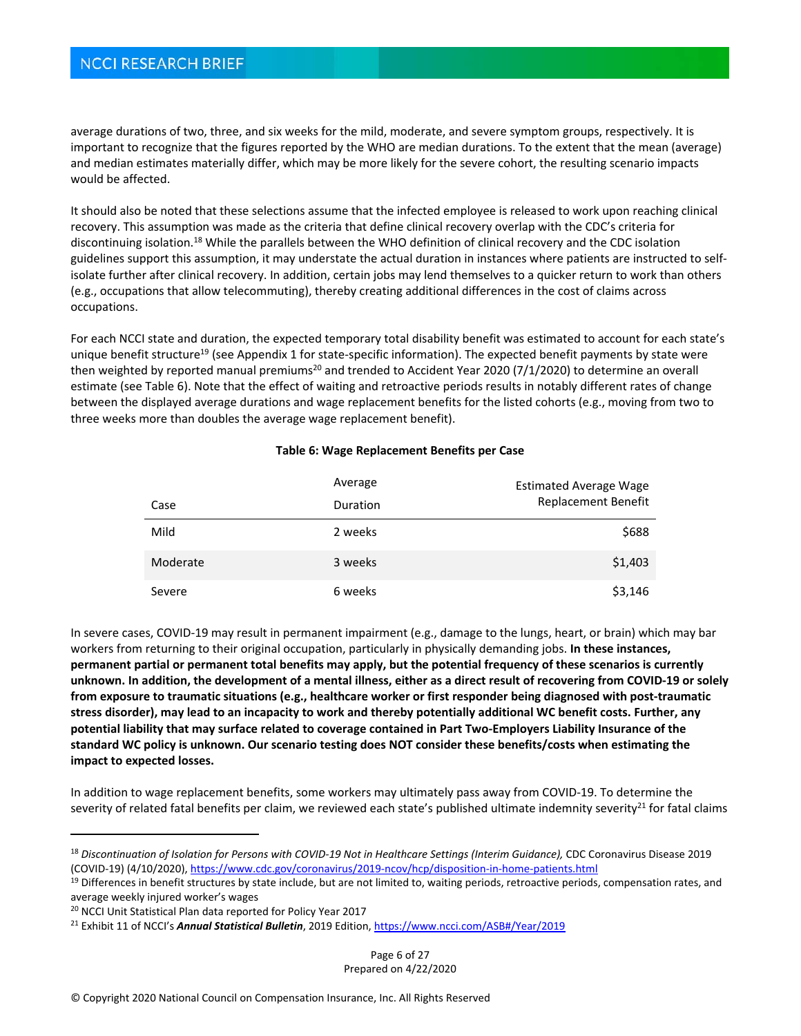### **NCCI RESEARCH BRIEF**

average durations of two, three, and six weeks for the mild, moderate, and severe symptom groups, respectively. It is important to recognize that the figures reported by the WHO are median durations. To the extent that the mean (average) and median estimates materially differ, which may be more likely for the severe cohort, the resulting scenario impacts would be affected.

It should also be noted that these selections assume that the infected employee is released to work upon reaching clinical recovery. This assumption was made as the criteria that define clinical recovery overlap with the CDC's criteria for discontinuing isolation.18 While the parallels between the WHO definition of clinical recovery and the CDC isolation guidelines support this assumption, it may understate the actual duration in instances where patients are instructed to self‐ isolate further after clinical recovery. In addition, certain jobs may lend themselves to a quicker return to work than others (e.g., occupations that allow telecommuting), thereby creating additional differences in the cost of claims across occupations.

For each NCCI state and duration, the expected temporary total disability benefit was estimated to account for each state's unique benefit structure<sup>19</sup> (see Appendix 1 for state-specific information). The expected benefit payments by state were then weighted by reported manual premiums<sup>20</sup> and trended to Accident Year 2020 (7/1/2020) to determine an overall estimate (see Table 6). Note that the effect of waiting and retroactive periods results in notably different rates of change between the displayed average durations and wage replacement benefits for the listed cohorts (e.g., moving from two to three weeks more than doubles the average wage replacement benefit).

| Case     | Average<br>Duration | <b>Estimated Average Wage</b><br><b>Replacement Benefit</b> |
|----------|---------------------|-------------------------------------------------------------|
| Mild     | 2 weeks             | \$688                                                       |
| Moderate | 3 weeks             | \$1,403                                                     |
| Severe   | 6 weeks             | \$3,146                                                     |

### **Table 6: Wage Replacement Benefits per Case**

In severe cases, COVID‐19 may result in permanent impairment (e.g., damage to the lungs, heart, or brain) which may bar workers from returning to their original occupation, particularly in physically demanding jobs. **In these instances, permanent partial or permanent total benefits may apply, but the potential frequency of these scenarios is currently unknown. In addition, the development of a mental illness, either as a direct result of recovering from COVID‐19 or solely from exposure to traumatic situations (e.g., healthcare worker or first responder being diagnosed with post‐traumatic stress disorder), may lead to an incapacity to work and thereby potentially additional WC benefit costs. Further, any potential liability that may surface related to coverage contained in Part Two‐Employers Liability Insurance of the standard WC policy is unknown. Our scenario testing does NOT consider these benefits/costs when estimating the impact to expected losses.** 

In addition to wage replacement benefits, some workers may ultimately pass away from COVID‐19. To determine the severity of related fatal benefits per claim, we reviewed each state's published ultimate indemnity severity<sup>21</sup> for fatal claims

Page 6 of 27 Prepared on 4/22/2020

<sup>18</sup> *Discontinuation of Isolation for Persons with COVID‐19 Not in Healthcare Settings (Interim Guidance),* CDC Coronavirus Disease 2019 (COVID‐19) (4/10/2020), https://www.cdc.gov/coronavirus/2019‐ncov/hcp/disposition‐in‐home‐patients.html

<sup>&</sup>lt;sup>19</sup> Differences in benefit structures by state include, but are not limited to, waiting periods, retroactive periods, compensation rates, and average weekly injured worker's wages

<sup>&</sup>lt;sup>20</sup> NCCI Unit Statistical Plan data reported for Policy Year 2017

<sup>21</sup> Exhibit 11 of NCCI's *Annual Statistical Bulletin*, 2019 Edition, https://www.ncci.com/ASB#/Year/2019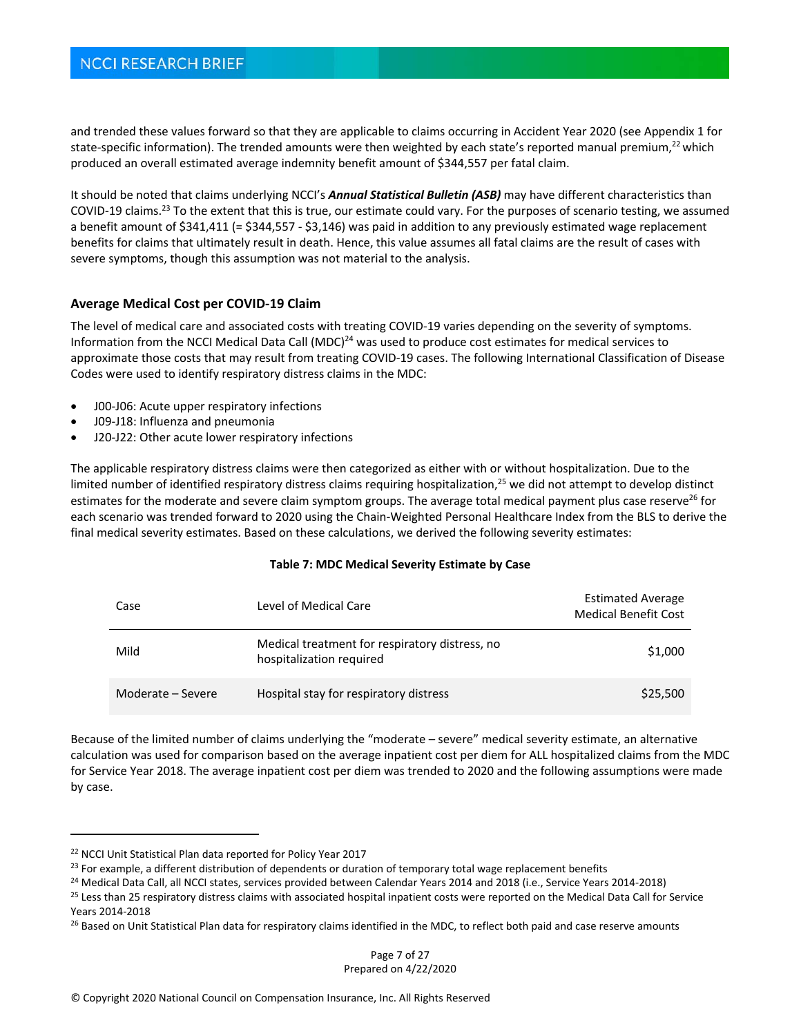and trended these values forward so that they are applicable to claims occurring in Accident Year 2020 (see Appendix 1 for state-specific information). The trended amounts were then weighted by each state's reported manual premium,<sup>22</sup> which produced an overall estimated average indemnity benefit amount of \$344,557 per fatal claim.

It should be noted that claims underlying NCCI's *Annual Statistical Bulletin (ASB)* may have different characteristics than COVID-19 claims.<sup>23</sup> To the extent that this is true, our estimate could vary. For the purposes of scenario testing, we assumed a benefit amount of \$341,411 (= \$344,557 ‐ \$3,146) was paid in addition to any previously estimated wage replacement benefits for claims that ultimately result in death. Hence, this value assumes all fatal claims are the result of cases with severe symptoms, though this assumption was not material to the analysis.

### **Average Medical Cost per COVID‐19 Claim**

The level of medical care and associated costs with treating COVID‐19 varies depending on the severity of symptoms. Information from the NCCI Medical Data Call (MDC) $^{24}$  was used to produce cost estimates for medical services to approximate those costs that may result from treating COVID-19 cases. The following International Classification of Disease Codes were used to identify respiratory distress claims in the MDC:

- J00‐J06: Acute upper respiratory infections
- J09‐J18: Influenza and pneumonia
- J20-J22: Other acute lower respiratory infections

The applicable respiratory distress claims were then categorized as either with or without hospitalization. Due to the limited number of identified respiratory distress claims requiring hospitalization,<sup>25</sup> we did not attempt to develop distinct estimates for the moderate and severe claim symptom groups. The average total medical payment plus case reserve<sup>26</sup> for each scenario was trended forward to 2020 using the Chain‐Weighted Personal Healthcare Index from the BLS to derive the final medical severity estimates. Based on these calculations, we derived the following severity estimates:

### **Table 7: MDC Medical Severity Estimate by Case**

| Case              | Level of Medical Care                                                      | <b>Estimated Average</b><br><b>Medical Benefit Cost</b> |
|-------------------|----------------------------------------------------------------------------|---------------------------------------------------------|
| Mild              | Medical treatment for respiratory distress, no<br>hospitalization required | \$1,000                                                 |
| Moderate – Severe | Hospital stay for respiratory distress                                     | \$25,500                                                |

Because of the limited number of claims underlying the "moderate – severe" medical severity estimate, an alternative calculation was used for comparison based on the average inpatient cost per diem for ALL hospitalized claims from the MDC for Service Year 2018. The average inpatient cost per diem was trended to 2020 and the following assumptions were made by case.

<sup>&</sup>lt;sup>22</sup> NCCI Unit Statistical Plan data reported for Policy Year 2017

<sup>&</sup>lt;sup>23</sup> For example, a different distribution of dependents or duration of temporary total wage replacement benefits

<sup>24</sup> Medical Data Call, all NCCI states, services provided between Calendar Years 2014 and 2018 (i.e., Service Years 2014‐2018)

<sup>&</sup>lt;sup>25</sup> Less than 25 respiratory distress claims with associated hospital inpatient costs were reported on the Medical Data Call for Service Years 2014‐2018

<sup>&</sup>lt;sup>26</sup> Based on Unit Statistical Plan data for respiratory claims identified in the MDC, to reflect both paid and case reserve amounts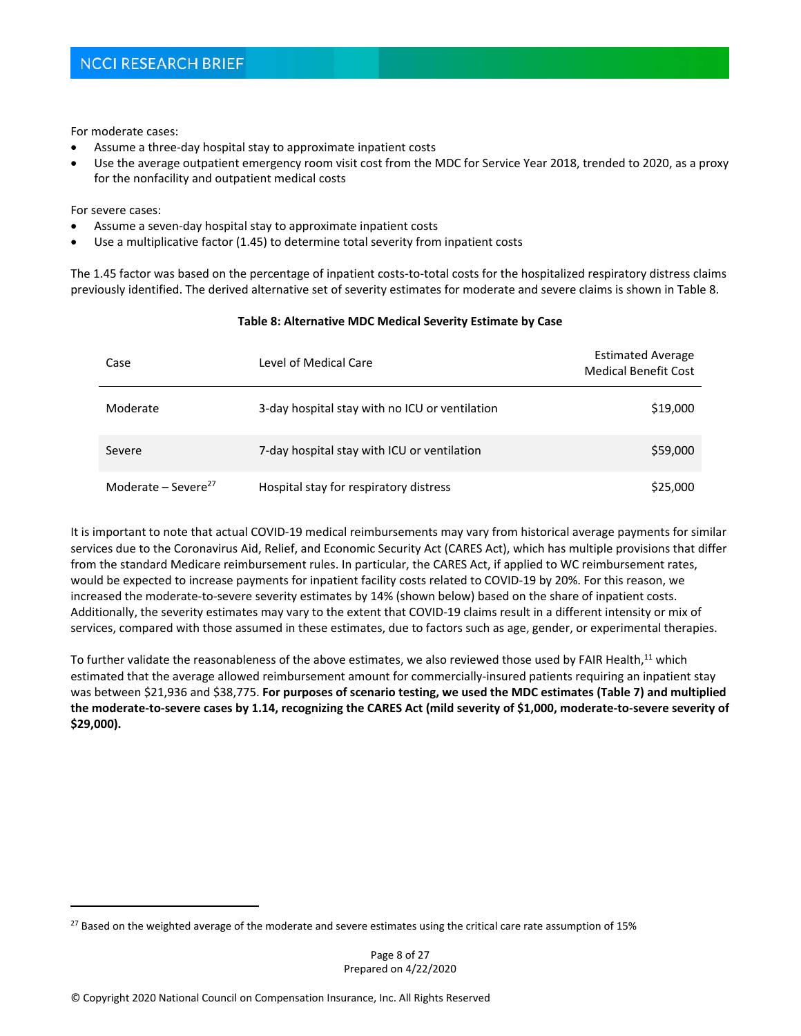For moderate cases:

- Assume a three‐day hospital stay to approximate inpatient costs
- Use the average outpatient emergency room visit cost from the MDC for Service Year 2018, trended to 2020, as a proxy for the nonfacility and outpatient medical costs

For severe cases:

- Assume a seven‐day hospital stay to approximate inpatient costs
- Use a multiplicative factor (1.45) to determine total severity from inpatient costs

The 1.45 factor was based on the percentage of inpatient costs-to-total costs for the hospitalized respiratory distress claims previously identified. The derived alternative set of severity estimates for moderate and severe claims is shown in Table 8.

| Case                            | Level of Medical Care                          | <b>Estimated Average</b><br><b>Medical Benefit Cost</b> |
|---------------------------------|------------------------------------------------|---------------------------------------------------------|
| Moderate                        | 3-day hospital stay with no ICU or ventilation | \$19,000                                                |
| Severe                          | 7-day hospital stay with ICU or ventilation    | \$59,000                                                |
| Moderate – Severe <sup>27</sup> | Hospital stay for respiratory distress         | \$25,000                                                |

### **Table 8: Alternative MDC Medical Severity Estimate by Case**

It is important to note that actual COVID-19 medical reimbursements may vary from historical average payments for similar services due to the Coronavirus Aid, Relief, and Economic Security Act (CARES Act), which has multiple provisions that differ from the standard Medicare reimbursement rules. In particular, the CARES Act, if applied to WC reimbursement rates, would be expected to increase payments for inpatient facility costs related to COVID‐19 by 20%. For this reason, we increased the moderate‐to‐severe severity estimates by 14% (shown below) based on the share of inpatient costs. Additionally, the severity estimates may vary to the extent that COVID‐19 claims result in a different intensity or mix of services, compared with those assumed in these estimates, due to factors such as age, gender, or experimental therapies.

To further validate the reasonableness of the above estimates, we also reviewed those used by FAIR Health,<sup>11</sup> which estimated that the average allowed reimbursement amount for commercially-insured patients requiring an inpatient stay was between \$21,936 and \$38,775. **For purposes of scenario testing, we used the MDC estimates (Table 7) and multiplied the moderate‐to‐severe cases by 1.14, recognizing the CARES Act (mild severity of \$1,000, moderate‐to‐severe severity of \$29,000).**

 $27$  Based on the weighted average of the moderate and severe estimates using the critical care rate assumption of 15%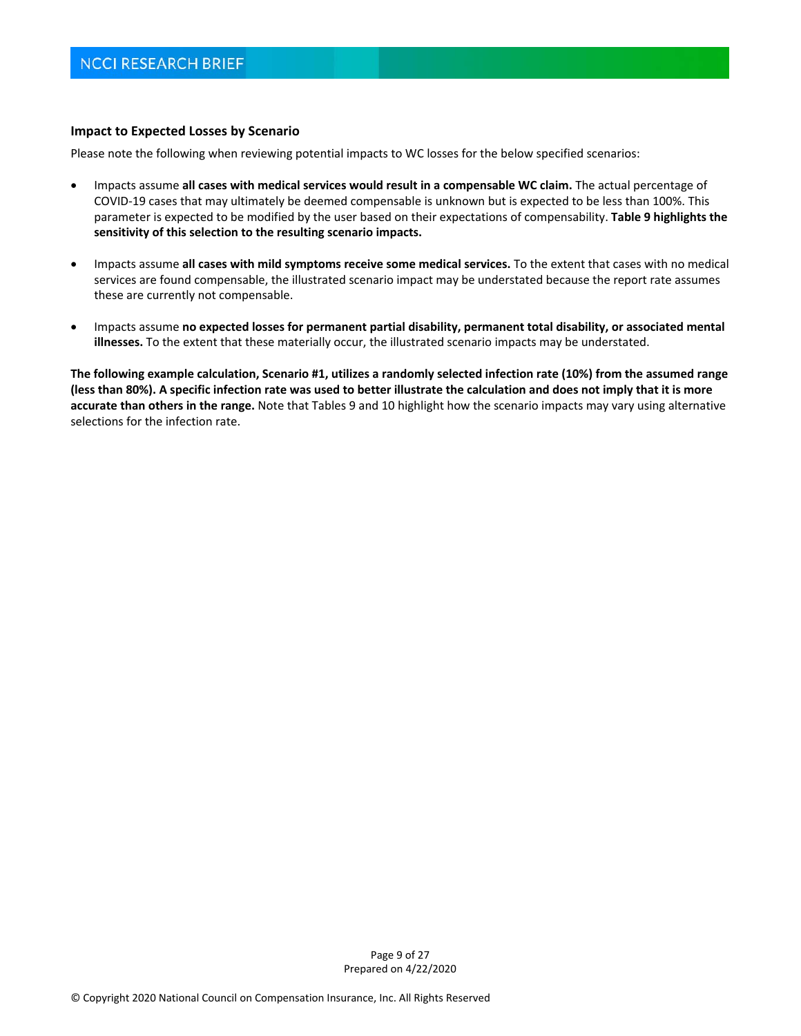### **Impact to Expected Losses by Scenario**

Please note the following when reviewing potential impacts to WC losses for the below specified scenarios:

- Impacts assume **all cases with medical services would result in a compensable WC claim.** The actual percentage of COVID‐19 cases that may ultimately be deemed compensable is unknown but is expected to be less than 100%. This parameter is expected to be modified by the user based on their expectations of compensability. **Table 9 highlights the sensitivity of this selection to the resulting scenario impacts.**
- Impacts assume **all cases with mild symptoms receive some medical services.** To the extent that cases with no medical services are found compensable, the illustrated scenario impact may be understated because the report rate assumes these are currently not compensable.
- Impacts assume **no expected losses for permanent partial disability, permanent total disability, or associated mental illnesses.** To the extent that these materially occur, the illustrated scenario impacts may be understated.

**The following example calculation, Scenario #1, utilizes a randomly selected infection rate (10%) from the assumed range (less than 80%). A specific infection rate was used to better illustrate the calculation and does not imply that it is more accurate than others in the range.** Note that Tables 9 and 10 highlight how the scenario impacts may vary using alternative selections for the infection rate.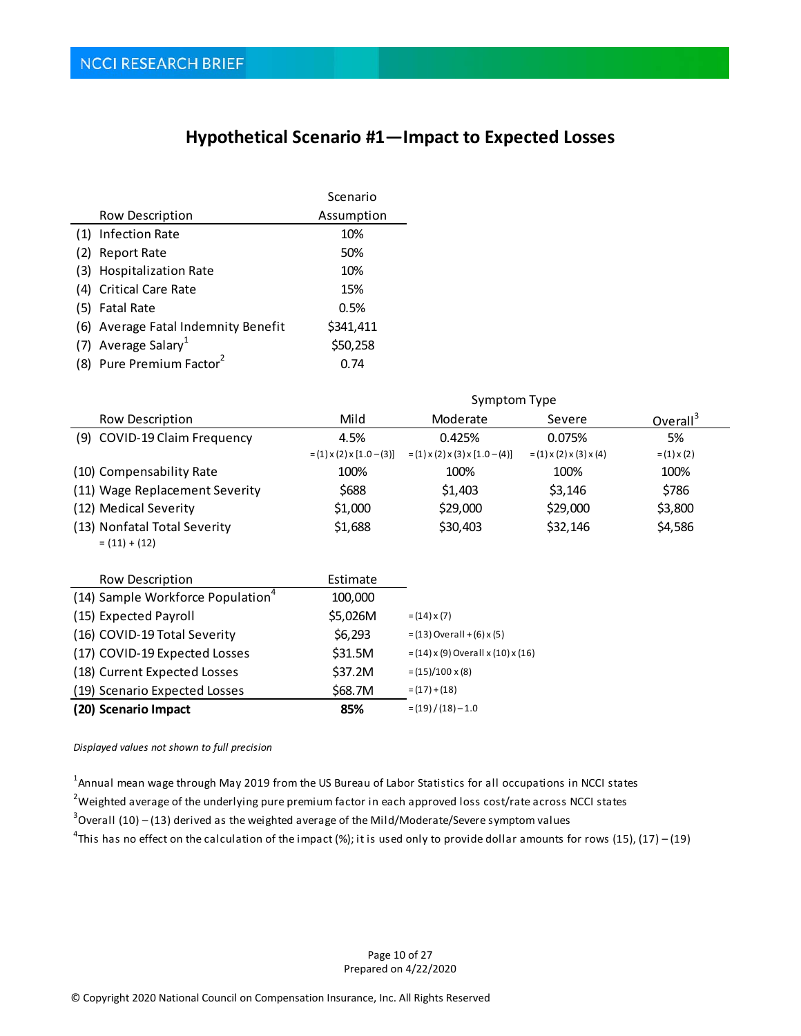## **Hypothetical Scenario #1—Impact to Expected Losses**

|     |                                     | Scenario   |
|-----|-------------------------------------|------------|
|     | Row Description                     | Assumption |
| (1) | <b>Infection Rate</b>               | 10%        |
| (2) | <b>Report Rate</b>                  | 50%        |
| (3) | <b>Hospitalization Rate</b>         | 10%        |
| (4) | <b>Critical Care Rate</b>           | 15%        |
| (5) | <b>Fatal Rate</b>                   | 0.5%       |
|     | (6) Average Fatal Indemnity Benefit | \$341,411  |
|     | (7) Average Salary <sup>1</sup>     | \$50,258   |
| (8) | Pure Premium Factor <sup>2</sup>    | 0.74       |

|                                                 | Symptom Type                         |                                                 |                                         |                   |  |  |
|-------------------------------------------------|--------------------------------------|-------------------------------------------------|-----------------------------------------|-------------------|--|--|
| Row Description                                 | Mild                                 | Moderate                                        | Severe                                  | Overall $3$       |  |  |
| (9) COVID-19 Claim Frequency                    | 4.5%                                 | 0.425%                                          | 0.075%                                  | 5%                |  |  |
|                                                 | $=(1) \times (2) \times [1.0 - (3)]$ | $=(1) \times (2) \times (3) \times [1.0 - (4)]$ | $=(1) \times (2) \times (3) \times (4)$ | $=(1) \times (2)$ |  |  |
| (10) Compensability Rate                        | 100%                                 | 100%                                            | 100%                                    | 100%              |  |  |
| (11) Wage Replacement Severity                  | \$688                                | \$1,403                                         | \$3,146                                 | \$786             |  |  |
| (12) Medical Severity                           | \$1,000                              | \$29,000                                        | \$29,000                                | \$3,800           |  |  |
| (13) Nonfatal Total Severity<br>$= (11) + (12)$ | \$1,688                              | \$30,403                                        | \$32,146                                | \$4,586           |  |  |
| Row Description                                 | Estimate                             |                                                 |                                         |                   |  |  |
| (14) Sample Workforce Population <sup>4</sup>   | 100,000                              |                                                 |                                         |                   |  |  |
| (15) Expected Payroll                           | \$5,026M                             | $=(14) \times (7)$                              |                                         |                   |  |  |
| (16) COVID-19 Total Severity                    | \$6,293                              | $=(13)$ Overall + (6) x (5)                     |                                         |                   |  |  |
| (17) COVID-19 Expected Losses                   | \$31.5M                              | $=(14)$ x (9) Overall x (10) x (16)             |                                         |                   |  |  |
| (18) Current Expected Losses                    | \$37.2M                              | $=(15)/100 \times (8)$                          |                                         |                   |  |  |
| (19) Scenario Expected Losses                   | \$68.7M                              | $=(17)+(18)$                                    |                                         |                   |  |  |
| (20) Scenario Impact                            | 85%                                  | $=(19)/(18)-1.0$                                |                                         |                   |  |  |

*Displayed values not shown to full precision*

 $^1$ Annual mean wage through May 2019 from the US Bureau of Labor Statistics for all occupations in NCCI states

 $^{2}$ Weighted average of the underlying pure premium factor in each approved loss cost/rate across NCCI states

 $3$ Overall (10) – (13) derived as the weighted average of the Mild/Moderate/Severe symptom values

 $^4$ This has no effect on the calculation of the impact (%); it is used only to provide dollar amounts for rows (15), (17) – (19)

Page 10 of 27 Prepared on 4/22/2020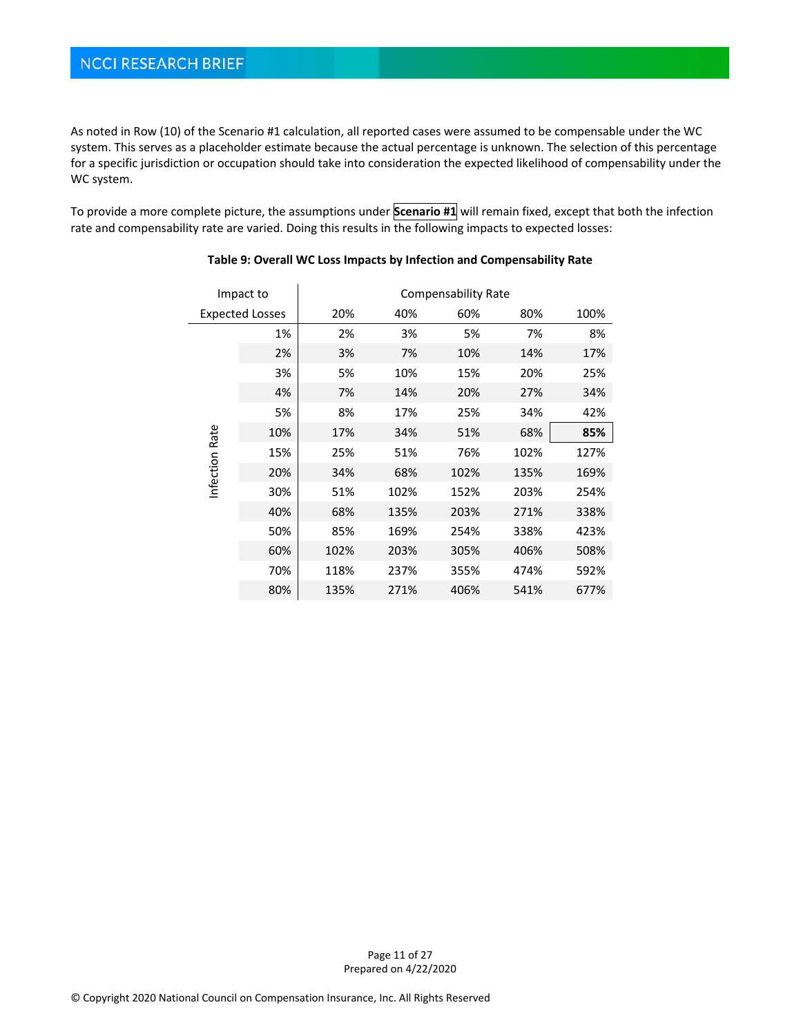As noted in Row (10) of the Scenario #1 calculation, all reported cases were assumed to be compensable under the WC system. This serves as a placeholder estimate because the actual percentage is unknown. The selection of this percentage for a specific jurisdiction or occupation should take into consideration the expected likelihood of compensability under the WC system.

To provide a more complete picture, the assumptions under **Scenario #1** will remain fixed, except that both the infection rate and compensability rate are varied. Doing this results in the following impacts to expected losses:

|                | Impact to              | <b>Compensability Rate</b> |      |      |      |      |  |
|----------------|------------------------|----------------------------|------|------|------|------|--|
|                | <b>Expected Losses</b> | 20%                        | 40%  | 60%  | 80%  | 100% |  |
|                | 1%                     | 2%                         | 3%   | 5%   | 7%   | 8%   |  |
|                | 2%                     | 3%                         | 7%   | 10%  | 14%  | 17%  |  |
|                | 3%                     | 5%                         | 10%  | 15%  | 20%  | 25%  |  |
|                | 4%                     | 7%                         | 14%  | 20%  | 27%  | 34%  |  |
|                | 5%                     | 8%                         | 17%  | 25%  | 34%  | 42%  |  |
|                | 10%                    | 17%                        | 34%  | 51%  | 68%  | 85%  |  |
| Infection Rate | 15%                    | 25%                        | 51%  | 76%  | 102% | 127% |  |
|                | 20%                    | 34%                        | 68%  | 102% | 135% | 169% |  |
|                | 30%                    | 51%                        | 102% | 152% | 203% | 254% |  |
|                | 40%                    | 68%                        | 135% | 203% | 271% | 338% |  |
|                | 50%                    | 85%                        | 169% | 254% | 338% | 423% |  |
|                | 60%                    | 102%                       | 203% | 305% | 406% | 508% |  |
|                | 70%                    | 118%                       | 237% | 355% | 474% | 592% |  |
|                | 80%                    | 135%                       | 271% | 406% | 541% | 677% |  |

### **Table 9: Overall WC Loss Impacts by Infection and Compensability Rate**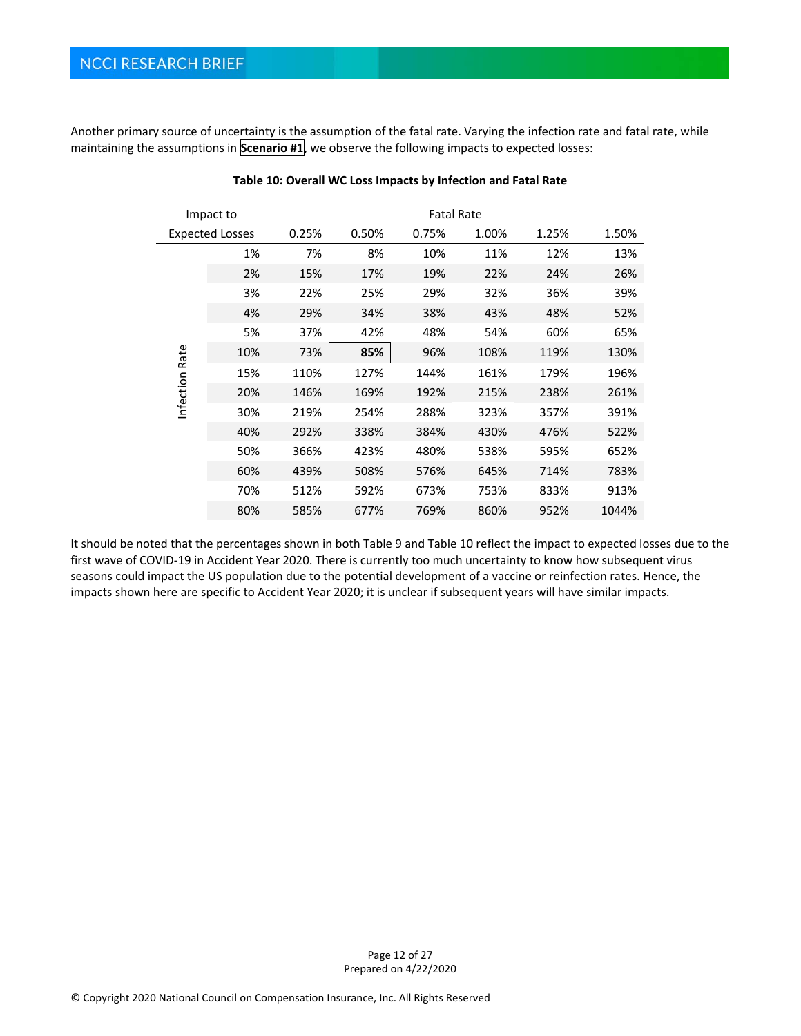Another primary source of uncertainty is the assumption of the fatal rate. Varying the infection rate and fatal rate, while maintaining the assumptions in **Scenario #1**, we observe the following impacts to expected losses:

|           | Impact to              | <b>Fatal Rate</b> |       |       |       |       |       |  |
|-----------|------------------------|-------------------|-------|-------|-------|-------|-------|--|
|           | <b>Expected Losses</b> | 0.25%             | 0.50% | 0.75% | 1.00% | 1.25% | 1.50% |  |
|           | 1%                     | 7%                | 8%    | 10%   | 11%   | 12%   | 13%   |  |
|           | 2%                     | 15%               | 17%   | 19%   | 22%   | 24%   | 26%   |  |
|           | 3%                     | 22%               | 25%   | 29%   | 32%   | 36%   | 39%   |  |
|           | 4%                     | 29%               | 34%   | 38%   | 43%   | 48%   | 52%   |  |
|           | 5%                     | 37%               | 42%   | 48%   | 54%   | 60%   | 65%   |  |
| Rate      | 10%                    | 73%               | 85%   | 96%   | 108%  | 119%  | 130%  |  |
|           | 15%                    | 110%              | 127%  | 144%  | 161%  | 179%  | 196%  |  |
| Infection | 20%                    | 146%              | 169%  | 192%  | 215%  | 238%  | 261%  |  |
|           | 30%                    | 219%              | 254%  | 288%  | 323%  | 357%  | 391%  |  |
|           | 40%                    | 292%              | 338%  | 384%  | 430%  | 476%  | 522%  |  |
|           | 50%                    | 366%              | 423%  | 480%  | 538%  | 595%  | 652%  |  |
|           | 60%                    | 439%              | 508%  | 576%  | 645%  | 714%  | 783%  |  |
|           | 70%                    | 512%              | 592%  | 673%  | 753%  | 833%  | 913%  |  |
|           | 80%                    | 585%              | 677%  | 769%  | 860%  | 952%  | 1044% |  |

### **Table 10: Overall WC Loss Impacts by Infection and Fatal Rate**

It should be noted that the percentages shown in both Table 9 and Table 10 reflect the impact to expected losses due to the first wave of COVID‐19 in Accident Year 2020. There is currently too much uncertainty to know how subsequent virus seasons could impact the US population due to the potential development of a vaccine or reinfection rates. Hence, the impacts shown here are specific to Accident Year 2020; it is unclear if subsequent years will have similar impacts.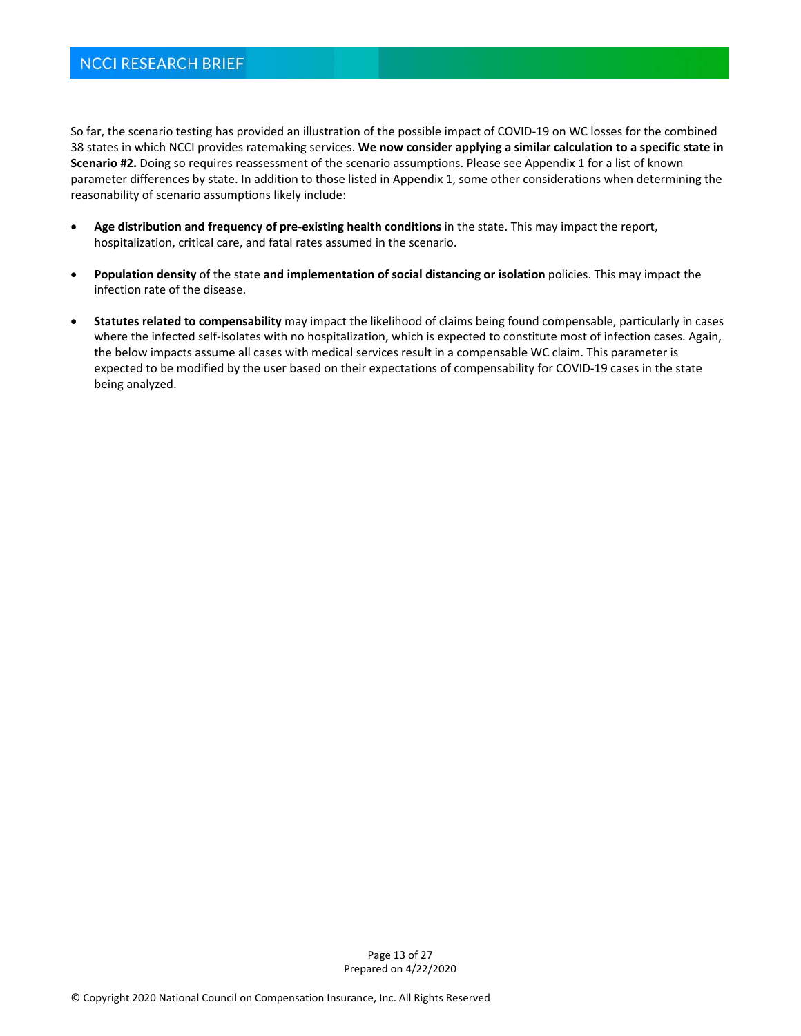### **NCCI RESEARCH BRIEF**

So far, the scenario testing has provided an illustration of the possible impact of COVID‐19 on WC losses for the combined 38 states in which NCCI provides ratemaking services. **We now consider applying a similar calculation to a specific state in Scenario #2.** Doing so requires reassessment of the scenario assumptions. Please see Appendix 1 for a list of known parameter differences by state. In addition to those listed in Appendix 1, some other considerations when determining the reasonability of scenario assumptions likely include:

- **Age distribution and frequency of pre‐existing health conditions** in the state. This may impact the report, hospitalization, critical care, and fatal rates assumed in the scenario.
- **Population density** of the state **and implementation of social distancing or isolation** policies. This may impact the infection rate of the disease.
- **Statutes related to compensability** may impact the likelihood of claims being found compensable, particularly in cases where the infected self-isolates with no hospitalization, which is expected to constitute most of infection cases. Again, the below impacts assume all cases with medical services result in a compensable WC claim. This parameter is expected to be modified by the user based on their expectations of compensability for COVID‐19 cases in the state being analyzed.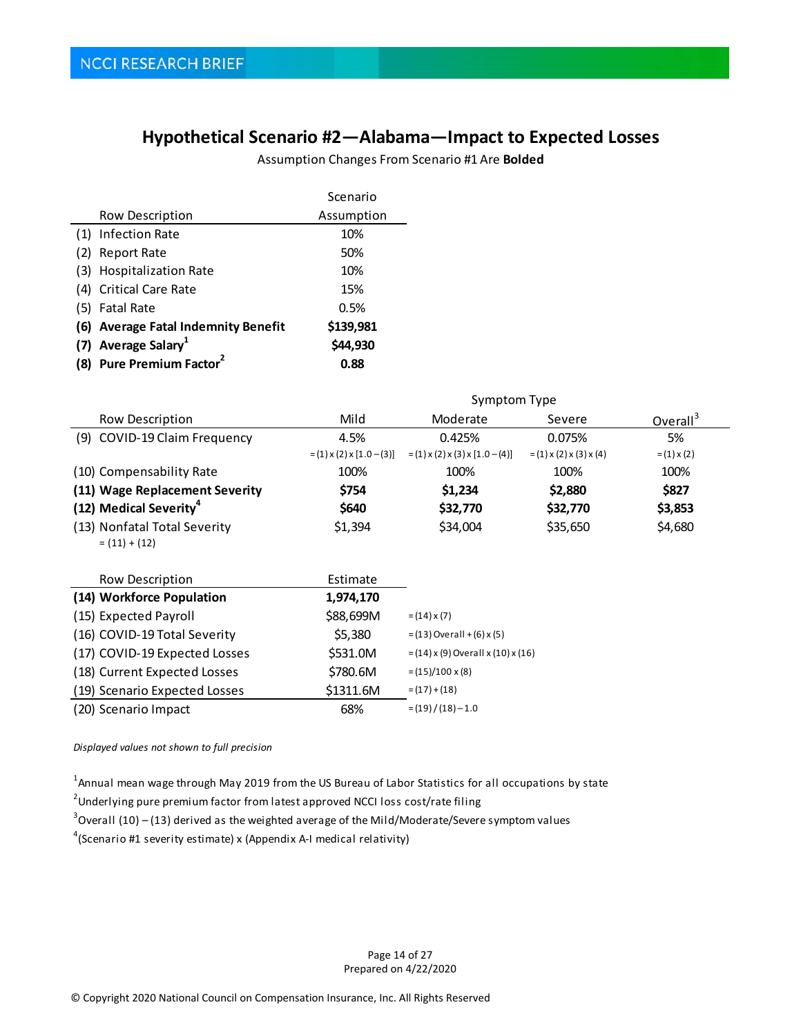## **Hypothetical Scenario #2—Alabama—Impact to Expected Losses**

Assumption Changes From Scenario #1 Are **Bolded**

|     |                                     | Scenario   |
|-----|-------------------------------------|------------|
|     | Row Description                     | Assumption |
| (1) | <b>Infection Rate</b>               | 10%        |
| (2) | <b>Report Rate</b>                  | 50%        |
| (3) | <b>Hospitalization Rate</b>         | 10%        |
| (4) | <b>Critical Care Rate</b>           | 15%        |
| (5) | <b>Fatal Rate</b>                   | 0.5%       |
|     | (6) Average Fatal Indemnity Benefit | \$139,981  |
|     | (7) Average Salary <sup>1</sup>     | \$44,930   |
| (8) | Pure Premium Factor <sup>2</sup>    | 0.88       |

|                                                 | Symptom Type                         |                                               |                                         |                    |  |  |  |
|-------------------------------------------------|--------------------------------------|-----------------------------------------------|-----------------------------------------|--------------------|--|--|--|
| Row Description                                 | Mild                                 | Moderate                                      | Severe                                  | Overall $3$        |  |  |  |
| (9) COVID-19 Claim Frequency                    | 4.5%                                 | 0.425%                                        | 0.075%                                  | 5%                 |  |  |  |
|                                                 | $=(1) \times (2) \times [1.0 - (3)]$ | $=(1) \times (2) \times (3) \times [1.0-(4)]$ | $=(1) \times (2) \times (3) \times (4)$ | $= (1) \times (2)$ |  |  |  |
| (10) Compensability Rate                        | 100%                                 | 100%                                          | 100%                                    | 100%               |  |  |  |
| (11) Wage Replacement Severity                  | \$754                                | \$1,234                                       | \$2,880                                 | \$827              |  |  |  |
| (12) Medical Severity <sup>4</sup>              | \$640                                | \$32,770                                      | \$32,770                                | \$3,853            |  |  |  |
| (13) Nonfatal Total Severity<br>$= (11) + (12)$ | \$1,394                              | \$34,004                                      | \$35,650                                | \$4,680            |  |  |  |
| Row Description                                 | Estimate                             |                                               |                                         |                    |  |  |  |
| (14) Workforce Population                       | 1,974,170                            |                                               |                                         |                    |  |  |  |
| (15) Expected Payroll                           | \$88,699M                            | $=(14) \times (7)$                            |                                         |                    |  |  |  |
| (16) COVID-19 Total Severity                    | \$5,380                              | $=(13)$ Overall + (6) x (5)                   |                                         |                    |  |  |  |
| (17) COVID-19 Expected Losses                   | \$531.0M                             | $=(14)$ x (9) Overall x (10) x (16)           |                                         |                    |  |  |  |
| (18) Current Expected Losses                    | \$780.6M                             | $=(15)/100 \times (8)$                        |                                         |                    |  |  |  |
| (19) Scenario Expected Losses                   | \$1311.6M                            | $=(17)+(18)$                                  |                                         |                    |  |  |  |
| (20) Scenario Impact                            | 68%                                  | $=(19)/(18)-1.0$                              |                                         |                    |  |  |  |

*Displayed values not shown to full precision*

 $^{\rm 1}$ Annual mean wage through May 2019 from the US Bureau of Labor Statistics for all occupations by state

 $^{2}$ Underlying pure premium factor from latest approved NCCI loss cost/rate filing

 $3$ Overall (10) – (13) derived as the weighted average of the Mild/Moderate/Severe symptom values

 $4$ (Scenario #1 severity estimate) x (Appendix A-I medical relativity)

Page 14 of 27 Prepared on 4/22/2020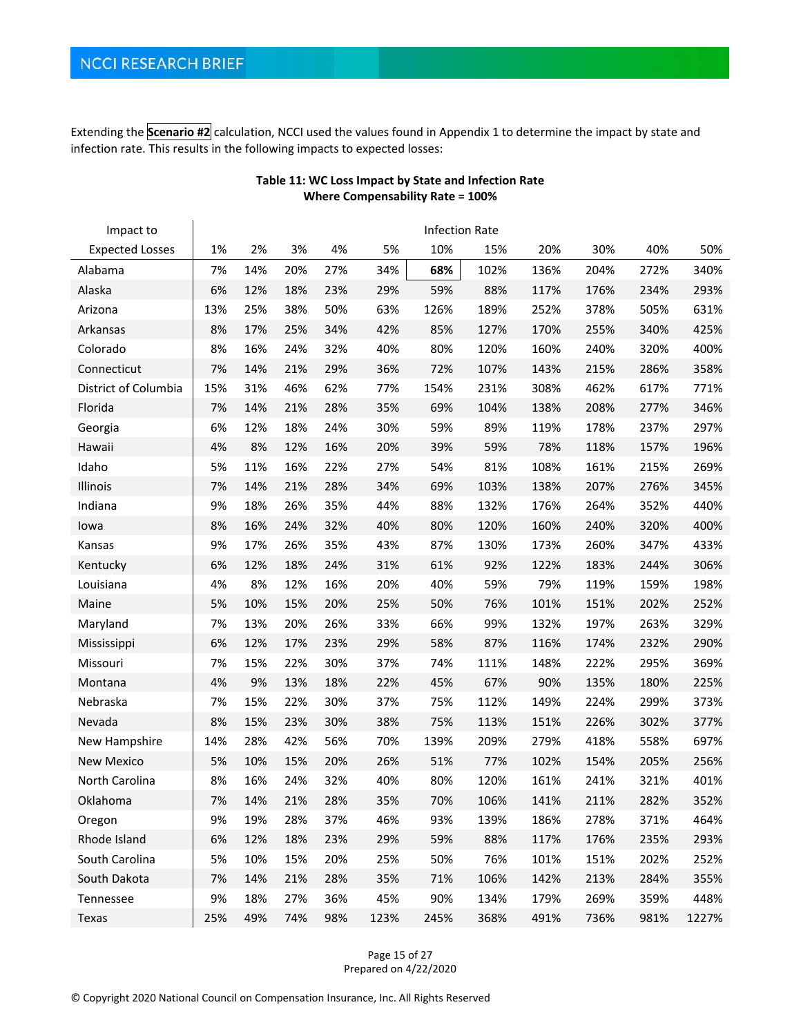Extending the **Scenario #2** calculation, NCCI used the values found in Appendix 1 to determine the impact by state and infection rate. This results in the following impacts to expected losses:

| Impact to              |     |     |     |     |      |      | <b>Infection Rate</b> |      |      |      |       |
|------------------------|-----|-----|-----|-----|------|------|-----------------------|------|------|------|-------|
| <b>Expected Losses</b> | 1%  | 2%  | 3%  | 4%  | 5%   | 10%  | 15%                   | 20%  | 30%  | 40%  | 50%   |
| Alabama                | 7%  | 14% | 20% | 27% | 34%  | 68%  | 102%                  | 136% | 204% | 272% | 340%  |
| Alaska                 | 6%  | 12% | 18% | 23% | 29%  | 59%  | 88%                   | 117% | 176% | 234% | 293%  |
| Arizona                | 13% | 25% | 38% | 50% | 63%  | 126% | 189%                  | 252% | 378% | 505% | 631%  |
| Arkansas               | 8%  | 17% | 25% | 34% | 42%  | 85%  | 127%                  | 170% | 255% | 340% | 425%  |
| Colorado               | 8%  | 16% | 24% | 32% | 40%  | 80%  | 120%                  | 160% | 240% | 320% | 400%  |
| Connecticut            | 7%  | 14% | 21% | 29% | 36%  | 72%  | 107%                  | 143% | 215% | 286% | 358%  |
| District of Columbia   | 15% | 31% | 46% | 62% | 77%  | 154% | 231%                  | 308% | 462% | 617% | 771%  |
| Florida                | 7%  | 14% | 21% | 28% | 35%  | 69%  | 104%                  | 138% | 208% | 277% | 346%  |
| Georgia                | 6%  | 12% | 18% | 24% | 30%  | 59%  | 89%                   | 119% | 178% | 237% | 297%  |
| Hawaii                 | 4%  | 8%  | 12% | 16% | 20%  | 39%  | 59%                   | 78%  | 118% | 157% | 196%  |
| Idaho                  | 5%  | 11% | 16% | 22% | 27%  | 54%  | 81%                   | 108% | 161% | 215% | 269%  |
| Illinois               | 7%  | 14% | 21% | 28% | 34%  | 69%  | 103%                  | 138% | 207% | 276% | 345%  |
| Indiana                | 9%  | 18% | 26% | 35% | 44%  | 88%  | 132%                  | 176% | 264% | 352% | 440%  |
| lowa                   | 8%  | 16% | 24% | 32% | 40%  | 80%  | 120%                  | 160% | 240% | 320% | 400%  |
| Kansas                 | 9%  | 17% | 26% | 35% | 43%  | 87%  | 130%                  | 173% | 260% | 347% | 433%  |
| Kentucky               | 6%  | 12% | 18% | 24% | 31%  | 61%  | 92%                   | 122% | 183% | 244% | 306%  |
| Louisiana              | 4%  | 8%  | 12% | 16% | 20%  | 40%  | 59%                   | 79%  | 119% | 159% | 198%  |
| Maine                  | 5%  | 10% | 15% | 20% | 25%  | 50%  | 76%                   | 101% | 151% | 202% | 252%  |
| Maryland               | 7%  | 13% | 20% | 26% | 33%  | 66%  | 99%                   | 132% | 197% | 263% | 329%  |
| Mississippi            | 6%  | 12% | 17% | 23% | 29%  | 58%  | 87%                   | 116% | 174% | 232% | 290%  |
| Missouri               | 7%  | 15% | 22% | 30% | 37%  | 74%  | 111%                  | 148% | 222% | 295% | 369%  |
| Montana                | 4%  | 9%  | 13% | 18% | 22%  | 45%  | 67%                   | 90%  | 135% | 180% | 225%  |
| Nebraska               | 7%  | 15% | 22% | 30% | 37%  | 75%  | 112%                  | 149% | 224% | 299% | 373%  |
| Nevada                 | 8%  | 15% | 23% | 30% | 38%  | 75%  | 113%                  | 151% | 226% | 302% | 377%  |
| New Hampshire          | 14% | 28% | 42% | 56% | 70%  | 139% | 209%                  | 279% | 418% | 558% | 697%  |
| <b>New Mexico</b>      | 5%  | 10% | 15% | 20% | 26%  | 51%  | 77%                   | 102% | 154% | 205% | 256%  |
| North Carolina         | 8%  | 16% | 24% | 32% | 40%  | 80%  | 120%                  | 161% | 241% | 321% | 401%  |
| Oklahoma               | 7%  | 14% | 21% | 28% | 35%  | 70%  | 106%                  | 141% | 211% | 282% | 352%  |
| Oregon                 | 9%  | 19% | 28% | 37% | 46%  | 93%  | 139%                  | 186% | 278% | 371% | 464%  |
| Rhode Island           | 6%  | 12% | 18% | 23% | 29%  | 59%  | 88%                   | 117% | 176% | 235% | 293%  |
| South Carolina         | 5%  | 10% | 15% | 20% | 25%  | 50%  | 76%                   | 101% | 151% | 202% | 252%  |
| South Dakota           | 7%  | 14% | 21% | 28% | 35%  | 71%  | 106%                  | 142% | 213% | 284% | 355%  |
| Tennessee              | 9%  | 18% | 27% | 36% | 45%  | 90%  | 134%                  | 179% | 269% | 359% | 448%  |
| Texas                  | 25% | 49% | 74% | 98% | 123% | 245% | 368%                  | 491% | 736% | 981% | 1227% |

### **Table 11: WC Loss Impact by State and Infection Rate Where Compensability Rate = 100%**

Page 15 of 27 Prepared on 4/22/2020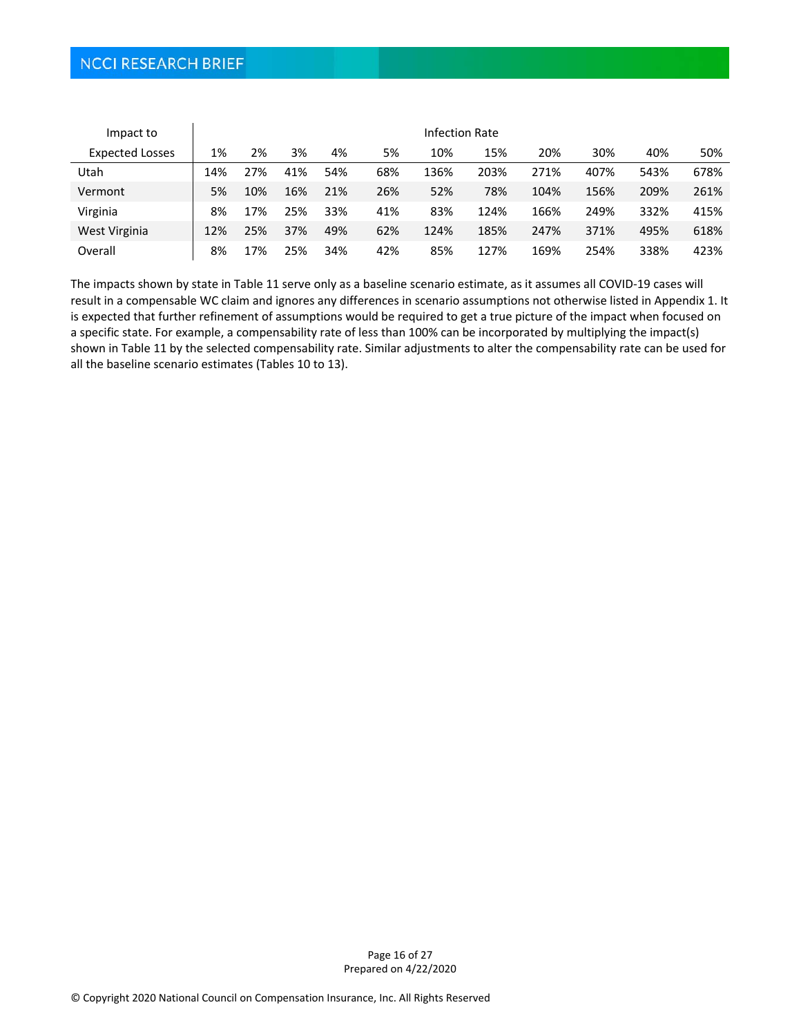| Impact to              | <b>Infection Rate</b> |     |     |     |     |      |      |      |      |      |      |
|------------------------|-----------------------|-----|-----|-----|-----|------|------|------|------|------|------|
| <b>Expected Losses</b> | 1%                    | 2%  | 3%  | 4%  | 5%  | 10%  | 15%  | 20%  | 30%  | 40%  | 50%  |
| Utah                   | 14%                   | 27% | 41% | 54% | 68% | 136% | 203% | 271% | 407% | 543% | 678% |
| Vermont                | 5%                    | 10% | 16% | 21% | 26% | 52%  | 78%  | 104% | 156% | 209% | 261% |
| Virginia               | 8%                    | 17% | 25% | 33% | 41% | 83%  | 124% | 166% | 249% | 332% | 415% |
| West Virginia          | 12%                   | 25% | 37% | 49% | 62% | 124% | 185% | 247% | 371% | 495% | 618% |
| Overall                | 8%                    | 17% | 25% | 34% | 42% | 85%  | 127% | 169% | 254% | 338% | 423% |

The impacts shown by state in Table 11 serve only as a baseline scenario estimate, as it assumes all COVID‐19 cases will result in a compensable WC claim and ignores any differences in scenario assumptions not otherwise listed in Appendix 1. It is expected that further refinement of assumptions would be required to get a true picture of the impact when focused on a specific state. For example, a compensability rate of less than 100% can be incorporated by multiplying the impact(s) shown in Table 11 by the selected compensability rate. Similar adjustments to alter the compensability rate can be used for all the baseline scenario estimates (Tables 10 to 13).

> Page 16 of 27 Prepared on 4/22/2020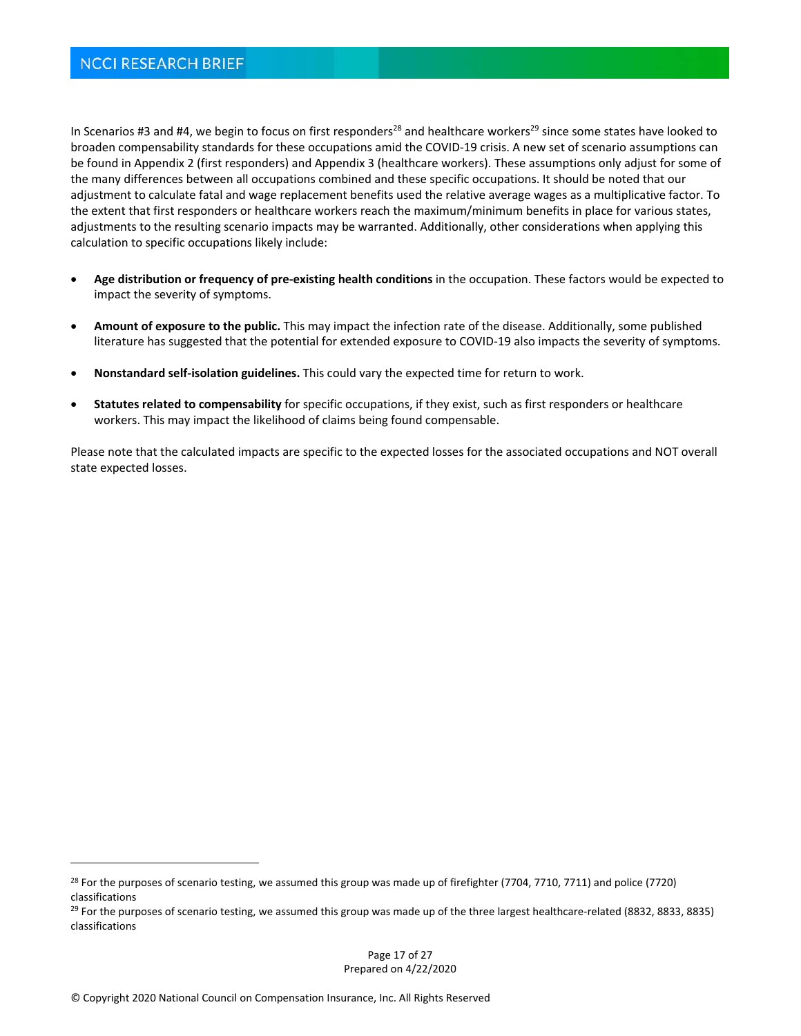In Scenarios #3 and #4, we begin to focus on first responders<sup>28</sup> and healthcare workers<sup>29</sup> since some states have looked to broaden compensability standards for these occupations amid the COVID‐19 crisis. A new set of scenario assumptions can be found in Appendix 2 (first responders) and Appendix 3 (healthcare workers). These assumptions only adjust for some of the many differences between all occupations combined and these specific occupations. It should be noted that our adjustment to calculate fatal and wage replacement benefits used the relative average wages as a multiplicative factor. To the extent that first responders or healthcare workers reach the maximum/minimum benefits in place for various states, adjustments to the resulting scenario impacts may be warranted. Additionally, other considerations when applying this calculation to specific occupations likely include:

- **Age distribution or frequency of pre‐existing health conditions** in the occupation. These factors would be expected to impact the severity of symptoms.
- **Amount of exposure to the public.** This may impact the infection rate of the disease. Additionally, some published literature has suggested that the potential for extended exposure to COVID‐19 also impacts the severity of symptoms.
- **Nonstandard self‐isolation guidelines.** This could vary the expected time for return to work.
- **Statutes related to compensability** for specific occupations, if they exist, such as first responders or healthcare workers. This may impact the likelihood of claims being found compensable.

Please note that the calculated impacts are specific to the expected losses for the associated occupations and NOT overall state expected losses.

<sup>&</sup>lt;sup>28</sup> For the purposes of scenario testing, we assumed this group was made up of firefighter (7704, 7710, 7711) and police (7720) classifications

 $29$  For the purposes of scenario testing, we assumed this group was made up of the three largest healthcare-related (8832, 8833, 8835) classifications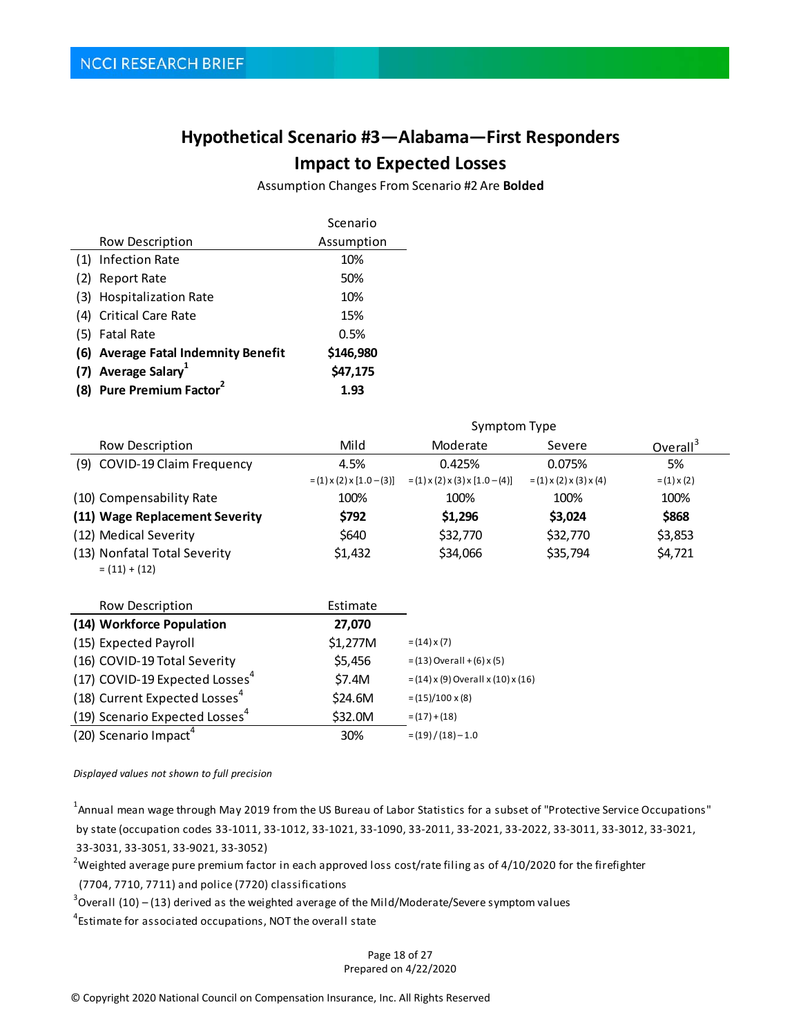# **Hypothetical Scenario #3—Alabama—First Responders**

### **Impact to Expected Losses**

Assumption Changes From Scenario #2 Are **Bolded**

|     |                                     | Scenario   |
|-----|-------------------------------------|------------|
|     | Row Description                     | Assumption |
|     | (1) Infection Rate                  | 10%        |
| (2) | Report Rate                         | 50%        |
|     | (3) Hospitalization Rate            | 10%        |
|     | (4) Critical Care Rate              | 15%        |
|     | (5) Fatal Rate                      | 0.5%       |
|     | (6) Average Fatal Indemnity Benefit | \$146,980  |
|     | (7) Average Salary <sup>1</sup>     | \$47,175   |
| (8) | Pure Premium Factor <sup>2</sup>    | 1.93       |

|                                                 | Symptom Type                         |                                                 |                                         |                      |  |  |  |
|-------------------------------------------------|--------------------------------------|-------------------------------------------------|-----------------------------------------|----------------------|--|--|--|
| Row Description                                 | Mild                                 | Moderate                                        | Severe                                  | Overall <sup>3</sup> |  |  |  |
| (9) COVID-19 Claim Frequency                    | 4.5%                                 | 0.425%                                          | 0.075%                                  | 5%                   |  |  |  |
|                                                 | $=(1) \times (2) \times [1.0 - (3)]$ | $=(1) \times (2) \times (3) \times [1.0 - (4)]$ | $=(1) \times (2) \times (3) \times (4)$ | $=(1) \times (2)$    |  |  |  |
| (10) Compensability Rate                        | 100%                                 | 100%                                            | 100%                                    | 100%                 |  |  |  |
| (11) Wage Replacement Severity                  | \$792                                | \$1,296                                         | \$3,024                                 | \$868                |  |  |  |
| (12) Medical Severity                           | \$640                                | \$32,770                                        | \$32,770                                | \$3,853              |  |  |  |
| (13) Nonfatal Total Severity<br>$= (11) + (12)$ | \$1,432                              | \$34,066                                        | \$35,794                                | \$4,721              |  |  |  |

| Row Description                            | Estimate |                                     |
|--------------------------------------------|----------|-------------------------------------|
| (14) Workforce Population                  | 27,070   |                                     |
| (15) Expected Payroll                      | \$1,277M | $=(14) \times (7)$                  |
| (16) COVID-19 Total Severity               | \$5,456  | $=(13)$ Overall + (6) x (5)         |
| (17) COVID-19 Expected Losses <sup>4</sup> | \$7.4M   | $=(14)$ x (9) Overall x (10) x (16) |
| (18) Current Expected Losses <sup>4</sup>  | \$24.6M  | $=(15)/100 \times (8)$              |
| (19) Scenario Expected Losses <sup>4</sup> | \$32.0M  | $=(17)+(18)$                        |
| (20) Scenario Impact <sup>4</sup>          | 30%      | $=(19)/(18)-1.0$                    |

*Displayed values not shown to full precision*

 $^{\rm 1}$ Annual mean wage through May 2019 from the US Bureau of Labor Statistics for a subset of "Protective Service Occupations" by state (occupation codes 33‐1011, 33‐1012, 33‐1021, 33‐1090, 33‐2011, 33‐2021, 33‐2022, 33‐3011, 33‐3012, 33‐3021, 33‐3031, 33‐3051, 33‐9021, 33‐3052)

 $^{2}$ Weighted average pure premium factor in each approved loss cost/rate filing as of 4/10/2020 for the firefighter

(7704, 7710, 7711) and police (7720) classi fications

 $3$ Overall (10) – (13) derived as the weighted average of the Mild/Moderate/Severe symptom values

<sup>4</sup>Estimate for associated occupations, NOT the overall state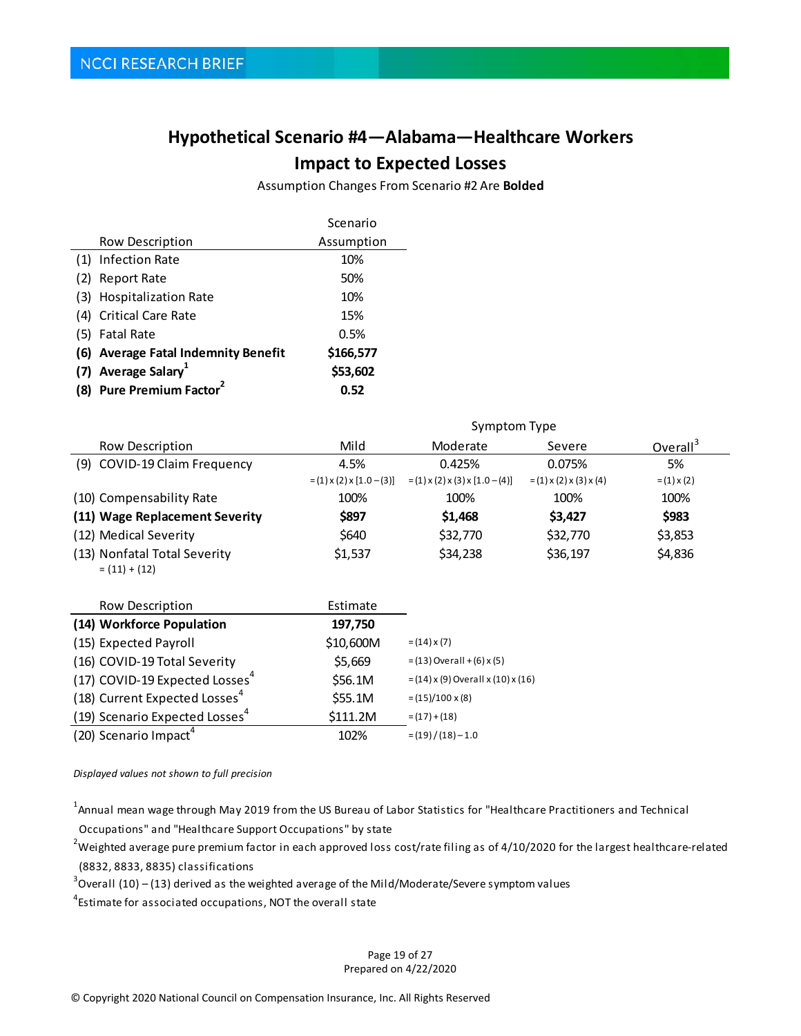# **Hypothetical Scenario #4—Alabama—Healthcare Workers**

## **Impact to Expected Losses**

Assumption Changes From Scenario #2 Are **Bolded**

|     |                                     | Scenario   |
|-----|-------------------------------------|------------|
|     | Row Description                     | Assumption |
|     | (1) Infection Rate                  | 10%        |
| (2) | Report Rate                         | 50%        |
|     | (3) Hospitalization Rate            | 10%        |
|     | (4) Critical Care Rate              | 15%        |
|     | (5) Fatal Rate                      | 0.5%       |
|     | (6) Average Fatal Indemnity Benefit | \$166,577  |
|     | (7) Average Salary <sup>1</sup>     | \$53,602   |
| (8) | Pure Premium Factor <sup>2</sup>    | 0.52       |

|                                                 | Symptom Type                         |                                               |                                         |                      |  |  |  |  |  |
|-------------------------------------------------|--------------------------------------|-----------------------------------------------|-----------------------------------------|----------------------|--|--|--|--|--|
| Row Description                                 | Mild                                 | Moderate                                      | Severe                                  | Overall <sup>3</sup> |  |  |  |  |  |
| (9) COVID-19 Claim Frequency                    | 4.5%                                 | 0.425%                                        | 0.075%                                  | 5%                   |  |  |  |  |  |
|                                                 | $=(1) \times (2) \times [1.0 - (3)]$ | $=(1) \times (2) \times (3) \times [1.0-(4)]$ | $=(1) \times (2) \times (3) \times (4)$ | $= (1) \times (2)$   |  |  |  |  |  |
| (10) Compensability Rate                        | 100%                                 | 100%                                          | 100%                                    | 100%                 |  |  |  |  |  |
| (11) Wage Replacement Severity                  | \$897                                | \$1,468                                       | \$3,427                                 | \$983                |  |  |  |  |  |
| (12) Medical Severity                           | \$640                                | \$32,770                                      | \$32,770                                | \$3,853              |  |  |  |  |  |
| (13) Nonfatal Total Severity<br>$= (11) + (12)$ | \$1,537                              | \$34,238                                      | \$36,197                                | \$4,836              |  |  |  |  |  |
| .                                               |                                      |                                               |                                         |                      |  |  |  |  |  |

| Row Description                            | Estimate  |                                     |
|--------------------------------------------|-----------|-------------------------------------|
| (14) Workforce Population                  | 197,750   |                                     |
| (15) Expected Payroll                      | \$10,600M | $=(14) \times (7)$                  |
| (16) COVID-19 Total Severity               | \$5,669   | $=(13)$ Overall + (6) x (5)         |
| (17) COVID-19 Expected Losses <sup>4</sup> | \$56.1M   | $=(14)$ x (9) Overall x (10) x (16) |
| (18) Current Expected Losses <sup>4</sup>  | \$55.1M   | $=(15)/100 \times (8)$              |
| (19) Scenario Expected Losses <sup>4</sup> | \$111.2M  | $=(17)+(18)$                        |
| (20) Scenario Impact <sup>4</sup>          | 102%      | $=(19)/(18)-1.0$                    |

*Displayed values not shown to full precision*

 $^{\rm 1}$ Annual mean wage through May 2019 from the US Bureau of Labor Statistics for "Healthcare Practitioners and Technical Occupations" and "Healthcare Support Occupations" by state

 $^2$ Weighted average pure premium factor in each approved loss cost/rate filing as of 4/10/2020 for the largest healthcare-related (8832, 8833, 8835) classi fications

 $3$ Overall (10) – (13) derived as the weighted average of the Mild/Moderate/Severe symptom values

<sup>4</sup>Estimate for associated occupations, NOT the overall state

Page 19 of 27 Prepared on 4/22/2020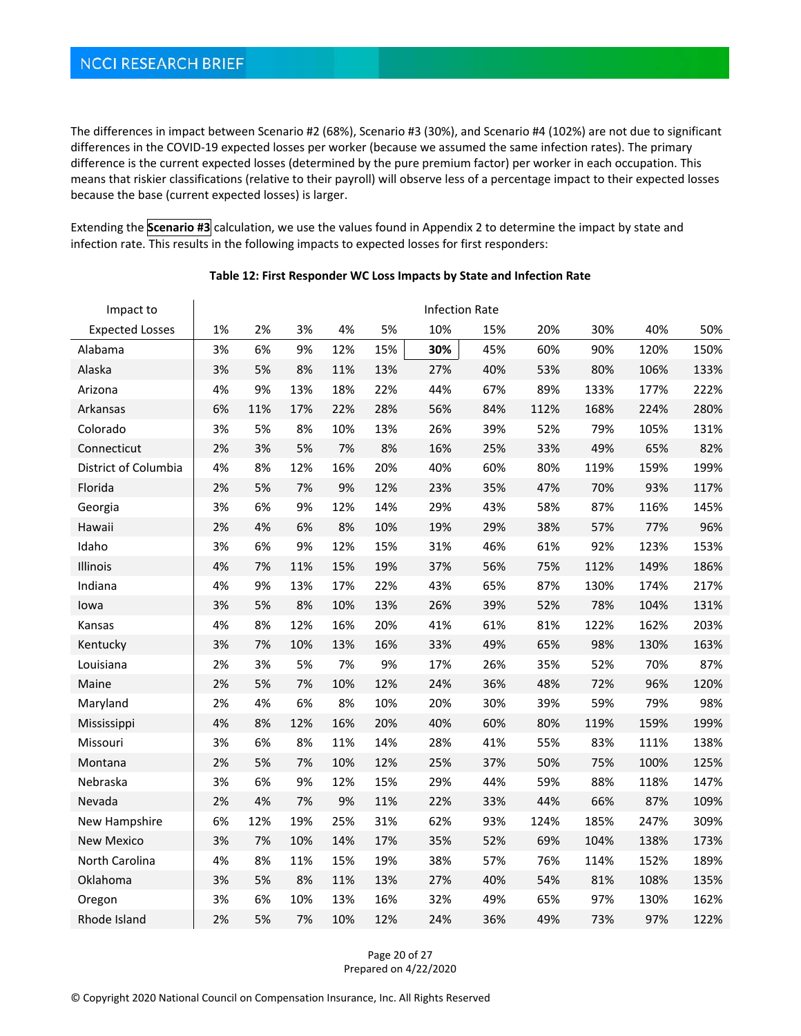## **NCCI RESEARCH BRIEF**

The differences in impact between Scenario #2 (68%), Scenario #3 (30%), and Scenario #4 (102%) are not due to significant differences in the COVID‐19 expected losses per worker (because we assumed the same infection rates). The primary difference is the current expected losses (determined by the pure premium factor) per worker in each occupation. This means that riskier classifications (relative to their payroll) will observe less of a percentage impact to their expected losses because the base (current expected losses) is larger.

Extending the **Scenario #3** calculation, we use the values found in Appendix 2 to determine the impact by state and infection rate. This results in the following impacts to expected losses for first responders:

| Impact to              |    |     |     |     |     | <b>Infection Rate</b> |     |      |      |      |      |
|------------------------|----|-----|-----|-----|-----|-----------------------|-----|------|------|------|------|
| <b>Expected Losses</b> | 1% | 2%  | 3%  | 4%  | 5%  | 10%                   | 15% | 20%  | 30%  | 40%  | 50%  |
| Alabama                | 3% | 6%  | 9%  | 12% | 15% | 30%                   | 45% | 60%  | 90%  | 120% | 150% |
| Alaska                 | 3% | 5%  | 8%  | 11% | 13% | 27%                   | 40% | 53%  | 80%  | 106% | 133% |
| Arizona                | 4% | 9%  | 13% | 18% | 22% | 44%                   | 67% | 89%  | 133% | 177% | 222% |
| Arkansas               | 6% | 11% | 17% | 22% | 28% | 56%                   | 84% | 112% | 168% | 224% | 280% |
| Colorado               | 3% | 5%  | 8%  | 10% | 13% | 26%                   | 39% | 52%  | 79%  | 105% | 131% |
| Connecticut            | 2% | 3%  | 5%  | 7%  | 8%  | 16%                   | 25% | 33%  | 49%  | 65%  | 82%  |
| District of Columbia   | 4% | 8%  | 12% | 16% | 20% | 40%                   | 60% | 80%  | 119% | 159% | 199% |
| Florida                | 2% | 5%  | 7%  | 9%  | 12% | 23%                   | 35% | 47%  | 70%  | 93%  | 117% |
| Georgia                | 3% | 6%  | 9%  | 12% | 14% | 29%                   | 43% | 58%  | 87%  | 116% | 145% |
| Hawaii                 | 2% | 4%  | 6%  | 8%  | 10% | 19%                   | 29% | 38%  | 57%  | 77%  | 96%  |
| Idaho                  | 3% | 6%  | 9%  | 12% | 15% | 31%                   | 46% | 61%  | 92%  | 123% | 153% |
| Illinois               | 4% | 7%  | 11% | 15% | 19% | 37%                   | 56% | 75%  | 112% | 149% | 186% |
| Indiana                | 4% | 9%  | 13% | 17% | 22% | 43%                   | 65% | 87%  | 130% | 174% | 217% |
| lowa                   | 3% | 5%  | 8%  | 10% | 13% | 26%                   | 39% | 52%  | 78%  | 104% | 131% |
| Kansas                 | 4% | 8%  | 12% | 16% | 20% | 41%                   | 61% | 81%  | 122% | 162% | 203% |
| Kentucky               | 3% | 7%  | 10% | 13% | 16% | 33%                   | 49% | 65%  | 98%  | 130% | 163% |
| Louisiana              | 2% | 3%  | 5%  | 7%  | 9%  | 17%                   | 26% | 35%  | 52%  | 70%  | 87%  |
| Maine                  | 2% | 5%  | 7%  | 10% | 12% | 24%                   | 36% | 48%  | 72%  | 96%  | 120% |
| Maryland               | 2% | 4%  | 6%  | 8%  | 10% | 20%                   | 30% | 39%  | 59%  | 79%  | 98%  |
| Mississippi            | 4% | 8%  | 12% | 16% | 20% | 40%                   | 60% | 80%  | 119% | 159% | 199% |
| Missouri               | 3% | 6%  | 8%  | 11% | 14% | 28%                   | 41% | 55%  | 83%  | 111% | 138% |
| Montana                | 2% | 5%  | 7%  | 10% | 12% | 25%                   | 37% | 50%  | 75%  | 100% | 125% |
| Nebraska               | 3% | 6%  | 9%  | 12% | 15% | 29%                   | 44% | 59%  | 88%  | 118% | 147% |
| Nevada                 | 2% | 4%  | 7%  | 9%  | 11% | 22%                   | 33% | 44%  | 66%  | 87%  | 109% |
| New Hampshire          | 6% | 12% | 19% | 25% | 31% | 62%                   | 93% | 124% | 185% | 247% | 309% |
| <b>New Mexico</b>      | 3% | 7%  | 10% | 14% | 17% | 35%                   | 52% | 69%  | 104% | 138% | 173% |
| North Carolina         | 4% | 8%  | 11% | 15% | 19% | 38%                   | 57% | 76%  | 114% | 152% | 189% |
| Oklahoma               | 3% | 5%  | 8%  | 11% | 13% | 27%                   | 40% | 54%  | 81%  | 108% | 135% |
| Oregon                 | 3% | 6%  | 10% | 13% | 16% | 32%                   | 49% | 65%  | 97%  | 130% | 162% |
| Rhode Island           | 2% | 5%  | 7%  | 10% | 12% | 24%                   | 36% | 49%  | 73%  | 97%  | 122% |
|                        |    |     |     |     |     |                       |     |      |      |      |      |

### **Table 12: First Responder WC Loss Impacts by State and Infection Rate**

Page 20 of 27 Prepared on 4/22/2020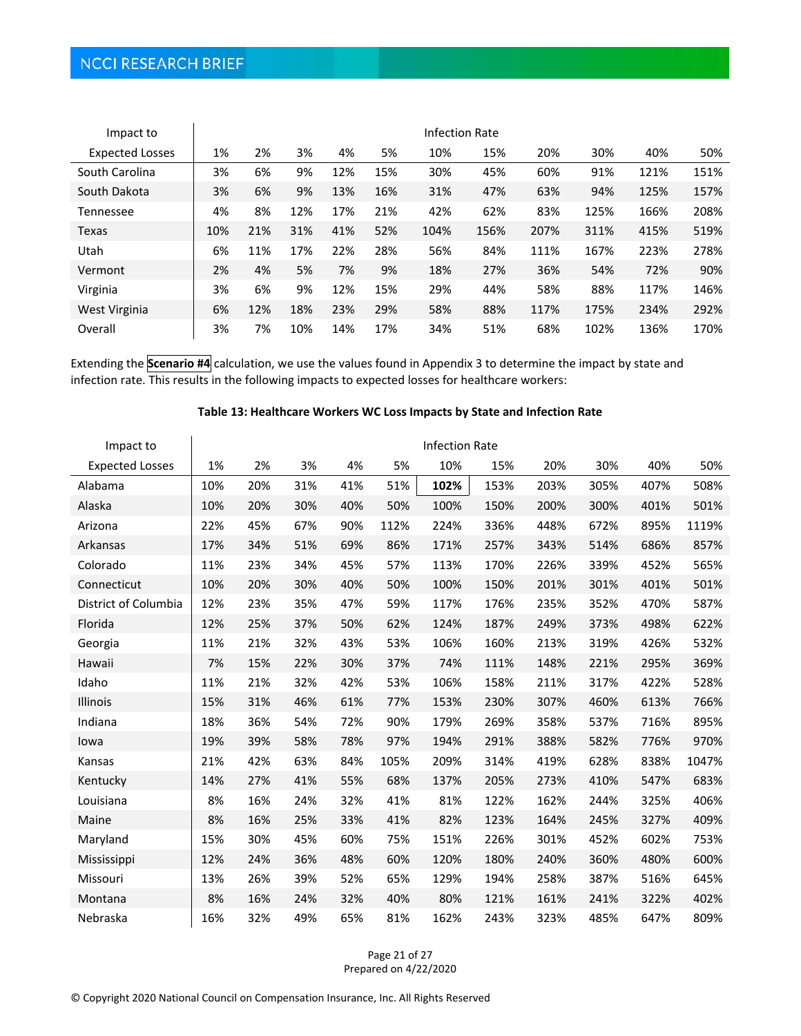| Impact to              | Infection Rate |     |     |     |     |      |      |      |      |      |      |
|------------------------|----------------|-----|-----|-----|-----|------|------|------|------|------|------|
| <b>Expected Losses</b> | 1%             | 2%  | 3%  | 4%  | 5%  | 10%  | 15%  | 20%  | 30%  | 40%  | 50%  |
| South Carolina         | 3%             | 6%  | 9%  | 12% | 15% | 30%  | 45%  | 60%  | 91%  | 121% | 151% |
| South Dakota           | 3%             | 6%  | 9%  | 13% | 16% | 31%  | 47%  | 63%  | 94%  | 125% | 157% |
| Tennessee              | 4%             | 8%  | 12% | 17% | 21% | 42%  | 62%  | 83%  | 125% | 166% | 208% |
| Texas                  | 10%            | 21% | 31% | 41% | 52% | 104% | 156% | 207% | 311% | 415% | 519% |
| Utah                   | 6%             | 11% | 17% | 22% | 28% | 56%  | 84%  | 111% | 167% | 223% | 278% |
| Vermont                | 2%             | 4%  | 5%  | 7%  | 9%  | 18%  | 27%  | 36%  | 54%  | 72%  | 90%  |
| Virginia               | 3%             | 6%  | 9%  | 12% | 15% | 29%  | 44%  | 58%  | 88%  | 117% | 146% |
| West Virginia          | 6%             | 12% | 18% | 23% | 29% | 58%  | 88%  | 117% | 175% | 234% | 292% |
| Overall                | 3%             | 7%  | 10% | 14% | 17% | 34%  | 51%  | 68%  | 102% | 136% | 170% |

Extending the **Scenario #4** calculation, we use the values found in Appendix 3 to determine the impact by state and infection rate. This results in the following impacts to expected losses for healthcare workers:

### **Table 13: Healthcare Workers WC Loss Impacts by State and Infection Rate**

| Impact to              |     |     |     |     |      | <b>Infection Rate</b> |      |      |      |      |       |
|------------------------|-----|-----|-----|-----|------|-----------------------|------|------|------|------|-------|
| <b>Expected Losses</b> | 1%  | 2%  | 3%  | 4%  | 5%   | 10%                   | 15%  | 20%  | 30%  | 40%  | 50%   |
| Alabama                | 10% | 20% | 31% | 41% | 51%  | 102%                  | 153% | 203% | 305% | 407% | 508%  |
| Alaska                 | 10% | 20% | 30% | 40% | 50%  | 100%                  | 150% | 200% | 300% | 401% | 501%  |
| Arizona                | 22% | 45% | 67% | 90% | 112% | 224%                  | 336% | 448% | 672% | 895% | 1119% |
| Arkansas               | 17% | 34% | 51% | 69% | 86%  | 171%                  | 257% | 343% | 514% | 686% | 857%  |
| Colorado               | 11% | 23% | 34% | 45% | 57%  | 113%                  | 170% | 226% | 339% | 452% | 565%  |
| Connecticut            | 10% | 20% | 30% | 40% | 50%  | 100%                  | 150% | 201% | 301% | 401% | 501%  |
| District of Columbia   | 12% | 23% | 35% | 47% | 59%  | 117%                  | 176% | 235% | 352% | 470% | 587%  |
| Florida                | 12% | 25% | 37% | 50% | 62%  | 124%                  | 187% | 249% | 373% | 498% | 622%  |
| Georgia                | 11% | 21% | 32% | 43% | 53%  | 106%                  | 160% | 213% | 319% | 426% | 532%  |
| Hawaii                 | 7%  | 15% | 22% | 30% | 37%  | 74%                   | 111% | 148% | 221% | 295% | 369%  |
| Idaho                  | 11% | 21% | 32% | 42% | 53%  | 106%                  | 158% | 211% | 317% | 422% | 528%  |
| Illinois               | 15% | 31% | 46% | 61% | 77%  | 153%                  | 230% | 307% | 460% | 613% | 766%  |
| Indiana                | 18% | 36% | 54% | 72% | 90%  | 179%                  | 269% | 358% | 537% | 716% | 895%  |
| lowa                   | 19% | 39% | 58% | 78% | 97%  | 194%                  | 291% | 388% | 582% | 776% | 970%  |
| Kansas                 | 21% | 42% | 63% | 84% | 105% | 209%                  | 314% | 419% | 628% | 838% | 1047% |
| Kentucky               | 14% | 27% | 41% | 55% | 68%  | 137%                  | 205% | 273% | 410% | 547% | 683%  |
| Louisiana              | 8%  | 16% | 24% | 32% | 41%  | 81%                   | 122% | 162% | 244% | 325% | 406%  |
| Maine                  | 8%  | 16% | 25% | 33% | 41%  | 82%                   | 123% | 164% | 245% | 327% | 409%  |
| Maryland               | 15% | 30% | 45% | 60% | 75%  | 151%                  | 226% | 301% | 452% | 602% | 753%  |
| Mississippi            | 12% | 24% | 36% | 48% | 60%  | 120%                  | 180% | 240% | 360% | 480% | 600%  |
| Missouri               | 13% | 26% | 39% | 52% | 65%  | 129%                  | 194% | 258% | 387% | 516% | 645%  |
| Montana                | 8%  | 16% | 24% | 32% | 40%  | 80%                   | 121% | 161% | 241% | 322% | 402%  |
| Nebraska               | 16% | 32% | 49% | 65% | 81%  | 162%                  | 243% | 323% | 485% | 647% | 809%  |

Page 21 of 27 Prepared on 4/22/2020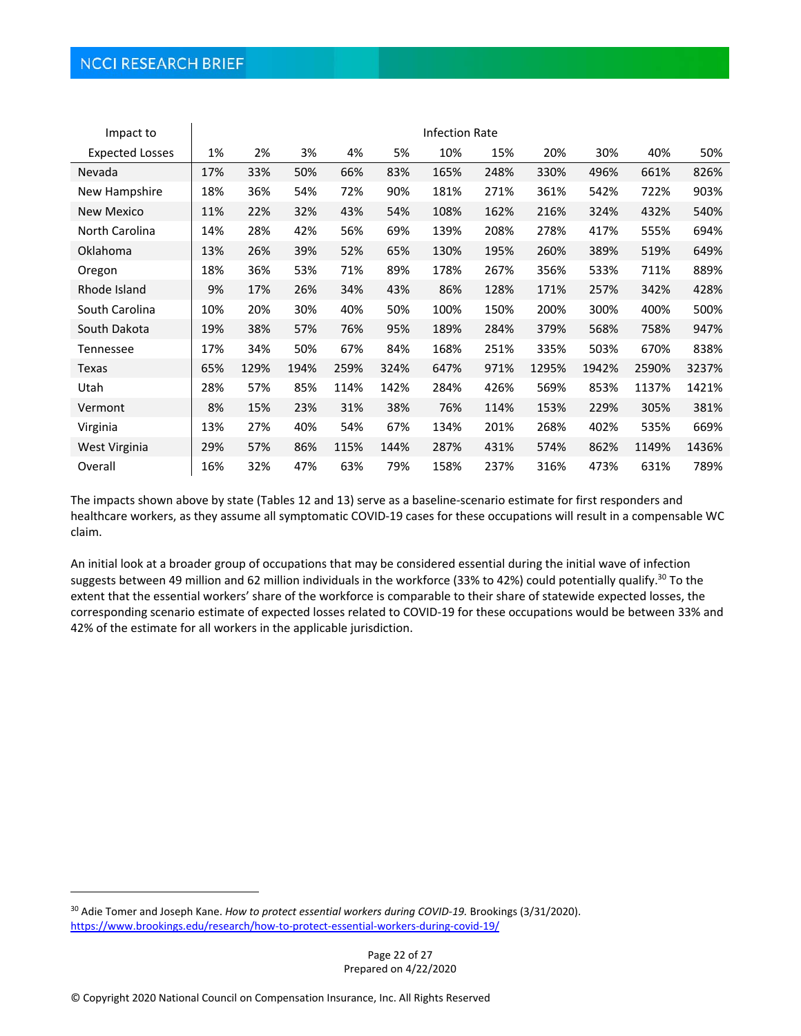| Impact to              | <b>Infection Rate</b> |      |      |      |      |      |      |       |       |       |       |
|------------------------|-----------------------|------|------|------|------|------|------|-------|-------|-------|-------|
| <b>Expected Losses</b> | 1%                    | 2%   | 3%   | 4%   | 5%   | 10%  | 15%  | 20%   | 30%   | 40%   | 50%   |
| Nevada                 | 17%                   | 33%  | 50%  | 66%  | 83%  | 165% | 248% | 330%  | 496%  | 661%  | 826%  |
| New Hampshire          | 18%                   | 36%  | 54%  | 72%  | 90%  | 181% | 271% | 361%  | 542%  | 722%  | 903%  |
| <b>New Mexico</b>      | 11%                   | 22%  | 32%  | 43%  | 54%  | 108% | 162% | 216%  | 324%  | 432%  | 540%  |
| North Carolina         | 14%                   | 28%  | 42%  | 56%  | 69%  | 139% | 208% | 278%  | 417%  | 555%  | 694%  |
| Oklahoma               | 13%                   | 26%  | 39%  | 52%  | 65%  | 130% | 195% | 260%  | 389%  | 519%  | 649%  |
| Oregon                 | 18%                   | 36%  | 53%  | 71%  | 89%  | 178% | 267% | 356%  | 533%  | 711%  | 889%  |
| Rhode Island           | 9%                    | 17%  | 26%  | 34%  | 43%  | 86%  | 128% | 171%  | 257%  | 342%  | 428%  |
| South Carolina         | 10%                   | 20%  | 30%  | 40%  | 50%  | 100% | 150% | 200%  | 300%  | 400%  | 500%  |
| South Dakota           | 19%                   | 38%  | 57%  | 76%  | 95%  | 189% | 284% | 379%  | 568%  | 758%  | 947%  |
| Tennessee              | 17%                   | 34%  | 50%  | 67%  | 84%  | 168% | 251% | 335%  | 503%  | 670%  | 838%  |
| Texas                  | 65%                   | 129% | 194% | 259% | 324% | 647% | 971% | 1295% | 1942% | 2590% | 3237% |
| Utah                   | 28%                   | 57%  | 85%  | 114% | 142% | 284% | 426% | 569%  | 853%  | 1137% | 1421% |
| Vermont                | 8%                    | 15%  | 23%  | 31%  | 38%  | 76%  | 114% | 153%  | 229%  | 305%  | 381%  |
| Virginia               | 13%                   | 27%  | 40%  | 54%  | 67%  | 134% | 201% | 268%  | 402%  | 535%  | 669%  |
| West Virginia          | 29%                   | 57%  | 86%  | 115% | 144% | 287% | 431% | 574%  | 862%  | 1149% | 1436% |
| Overall                | 16%                   | 32%  | 47%  | 63%  | 79%  | 158% | 237% | 316%  | 473%  | 631%  | 789%  |

The impacts shown above by state (Tables 12 and 13) serve as a baseline‐scenario estimate for first responders and healthcare workers, as they assume all symptomatic COVID‐19 cases for these occupations will result in a compensable WC claim.

An initial look at a broader group of occupations that may be considered essential during the initial wave of infection suggests between 49 million and 62 million individuals in the workforce (33% to 42%) could potentially qualify.<sup>30</sup> To the extent that the essential workers' share of the workforce is comparable to their share of statewide expected losses, the corresponding scenario estimate of expected losses related to COVID‐19 for these occupations would be between 33% and 42% of the estimate for all workers in the applicable jurisdiction.

<sup>&</sup>lt;sup>30</sup> Adie Tomer and Joseph Kane. *How to protect essential workers during COVID-19*. Brookings (3/31/2020). https://www.brookings.edu/research/how-to-protect-essential-workers-during-covid-19/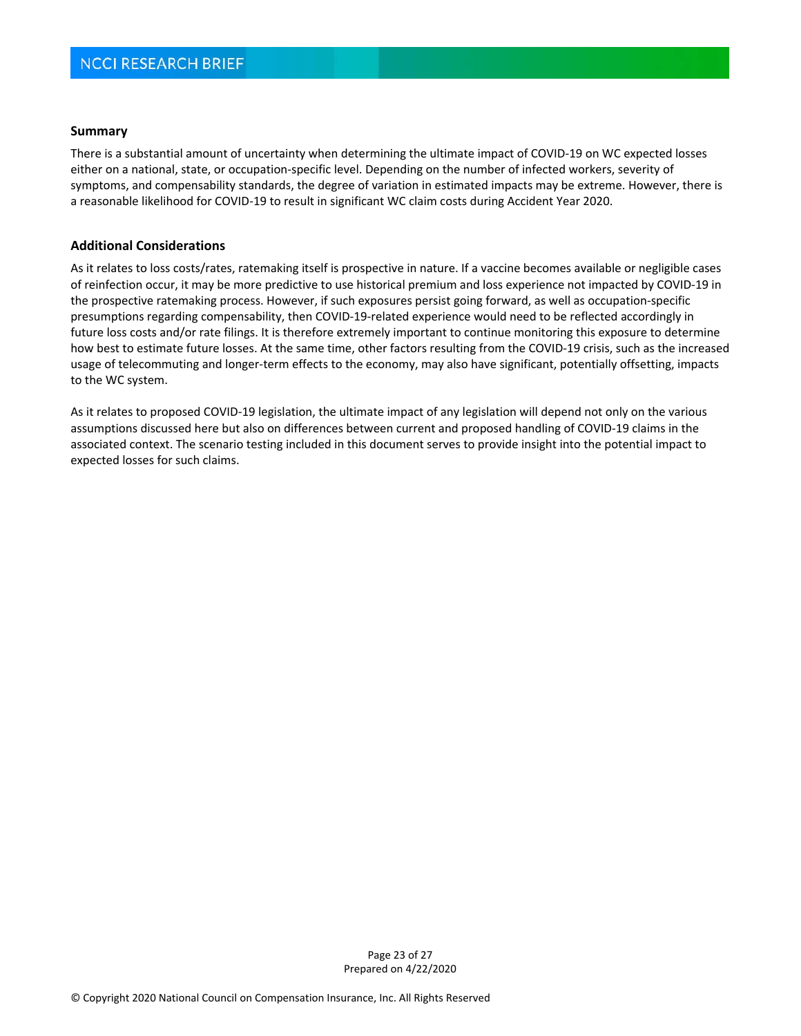#### **Summary**

There is a substantial amount of uncertainty when determining the ultimate impact of COVID‐19 on WC expected losses either on a national, state, or occupation‐specific level. Depending on the number of infected workers, severity of symptoms, and compensability standards, the degree of variation in estimated impacts may be extreme. However, there is a reasonable likelihood for COVID‐19 to result in significant WC claim costs during Accident Year 2020.

### **Additional Considerations**

As it relates to loss costs/rates, ratemaking itself is prospective in nature. If a vaccine becomes available or negligible cases of reinfection occur, it may be more predictive to use historical premium and loss experience not impacted by COVID‐19 in the prospective ratemaking process. However, if such exposures persist going forward, as well as occupation‐specific presumptions regarding compensability, then COVID‐19‐related experience would need to be reflected accordingly in future loss costs and/or rate filings. It is therefore extremely important to continue monitoring this exposure to determine how best to estimate future losses. At the same time, other factors resulting from the COVID‐19 crisis, such as the increased usage of telecommuting and longer‐term effects to the economy, may also have significant, potentially offsetting, impacts to the WC system.

As it relates to proposed COVID‐19 legislation, the ultimate impact of any legislation will depend not only on the various assumptions discussed here but also on differences between current and proposed handling of COVID‐19 claims in the associated context. The scenario testing included in this document serves to provide insight into the potential impact to expected losses for such claims.

> Page 23 of 27 Prepared on 4/22/2020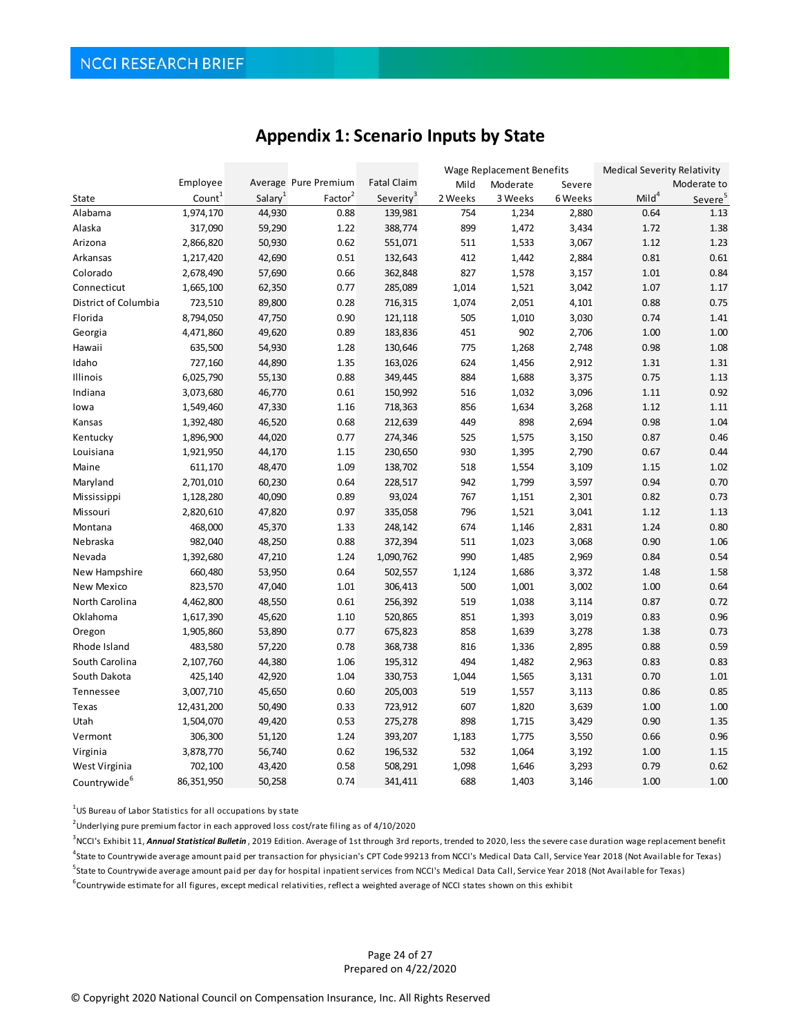|                          |                    |                     |                      |                       |         | Wage Replacement Benefits |         | <b>Medical Severity Relativity</b> |                     |
|--------------------------|--------------------|---------------------|----------------------|-----------------------|---------|---------------------------|---------|------------------------------------|---------------------|
|                          | Employee           |                     | Average Pure Premium | <b>Fatal Claim</b>    | Mild    | Moderate                  | Severe  |                                    | Moderate to         |
| State                    | Count <sup>1</sup> | Salary <sup>1</sup> | Factor <sup>2</sup>  | Severity <sup>3</sup> | 2 Weeks | 3 Weeks                   | 6 Weeks | Mild <sup>4</sup>                  | Severe <sup>5</sup> |
| Alabama                  | 1,974,170          | 44,930              | 0.88                 | 139,981               | 754     | 1,234                     | 2,880   | 0.64                               | 1.13                |
| Alaska                   | 317,090            | 59,290              | 1.22                 | 388,774               | 899     | 1,472                     | 3,434   | 1.72                               | 1.38                |
| Arizona                  | 2,866,820          | 50,930              | 0.62                 | 551,071               | 511     | 1,533                     | 3,067   | 1.12                               | 1.23                |
| Arkansas                 | 1,217,420          | 42,690              | 0.51                 | 132,643               | 412     | 1,442                     | 2,884   | 0.81                               | 0.61                |
| Colorado                 | 2,678,490          | 57,690              | 0.66                 | 362,848               | 827     | 1,578                     | 3,157   | 1.01                               | 0.84                |
| Connecticut              | 1,665,100          | 62,350              | 0.77                 | 285,089               | 1,014   | 1,521                     | 3,042   | 1.07                               | 1.17                |
| District of Columbia     | 723,510            | 89,800              | 0.28                 | 716,315               | 1,074   | 2,051                     | 4,101   | 0.88                               | 0.75                |
| Florida                  | 8,794,050          | 47,750              | 0.90                 | 121,118               | 505     | 1,010                     | 3,030   | 0.74                               | 1.41                |
| Georgia                  | 4,471,860          | 49,620              | 0.89                 | 183,836               | 451     | 902                       | 2,706   | 1.00                               | 1.00                |
| Hawaii                   | 635,500            | 54,930              | 1.28                 | 130,646               | 775     | 1,268                     | 2,748   | 0.98                               | 1.08                |
| Idaho                    | 727,160            | 44,890              | 1.35                 | 163,026               | 624     | 1,456                     | 2,912   | 1.31                               | 1.31                |
| Illinois                 | 6,025,790          | 55,130              | 0.88                 | 349,445               | 884     | 1,688                     | 3,375   | 0.75                               | 1.13                |
| Indiana                  | 3,073,680          | 46,770              | 0.61                 | 150,992               | 516     | 1,032                     | 3,096   | 1.11                               | 0.92                |
| lowa                     | 1,549,460          | 47,330              | 1.16                 | 718,363               | 856     | 1,634                     | 3,268   | 1.12                               | 1.11                |
| Kansas                   | 1,392,480          | 46,520              | 0.68                 | 212,639               | 449     | 898                       | 2,694   | 0.98                               | 1.04                |
| Kentucky                 | 1,896,900          | 44,020              | 0.77                 | 274,346               | 525     | 1,575                     | 3,150   | 0.87                               | 0.46                |
| Louisiana                | 1,921,950          | 44,170              | 1.15                 | 230,650               | 930     | 1,395                     | 2,790   | 0.67                               | 0.44                |
| Maine                    | 611,170            | 48,470              | 1.09                 | 138,702               | 518     | 1,554                     | 3,109   | 1.15                               | 1.02                |
| Maryland                 | 2,701,010          | 60,230              | 0.64                 | 228,517               | 942     | 1,799                     | 3,597   | 0.94                               | 0.70                |
| Mississippi              | 1,128,280          | 40,090              | 0.89                 | 93,024                | 767     | 1,151                     | 2,301   | 0.82                               | 0.73                |
| Missouri                 | 2,820,610          | 47,820              | 0.97                 | 335,058               | 796     | 1,521                     | 3,041   | 1.12                               | 1.13                |
| Montana                  | 468,000            | 45,370              | 1.33                 | 248,142               | 674     | 1,146                     | 2,831   | 1.24                               | 0.80                |
| Nebraska                 | 982,040            | 48,250              | 0.88                 | 372,394               | 511     | 1,023                     | 3,068   | 0.90                               | 1.06                |
| Nevada                   | 1,392,680          | 47,210              | 1.24                 | 1,090,762             | 990     | 1,485                     | 2,969   | 0.84                               | 0.54                |
| New Hampshire            | 660,480            | 53,950              | 0.64                 | 502,557               | 1,124   | 1,686                     | 3,372   | 1.48                               | 1.58                |
| <b>New Mexico</b>        | 823,570            | 47,040              | 1.01                 | 306,413               | 500     | 1,001                     | 3,002   | 1.00                               | 0.64                |
| North Carolina           | 4,462,800          | 48,550              | 0.61                 | 256,392               | 519     | 1,038                     | 3,114   | 0.87                               | 0.72                |
| Oklahoma                 | 1,617,390          | 45,620              | 1.10                 | 520,865               | 851     | 1,393                     | 3,019   | 0.83                               | 0.96                |
| Oregon                   | 1,905,860          | 53,890              | 0.77                 | 675,823               | 858     | 1,639                     | 3,278   | 1.38                               | 0.73                |
| Rhode Island             | 483,580            | 57,220              | 0.78                 | 368,738               | 816     | 1,336                     | 2,895   | 0.88                               | 0.59                |
| South Carolina           | 2,107,760          | 44,380              | 1.06                 | 195,312               | 494     | 1,482                     | 2,963   | 0.83                               | 0.83                |
| South Dakota             | 425,140            | 42,920              | 1.04                 | 330,753               | 1,044   | 1,565                     | 3,131   | 0.70                               | 1.01                |
| Tennessee                | 3,007,710          | 45,650              | 0.60                 | 205,003               | 519     | 1,557                     | 3,113   | 0.86                               | 0.85                |
| Texas                    | 12,431,200         | 50,490              | 0.33                 | 723,912               | 607     | 1,820                     | 3,639   | 1.00                               | 1.00                |
| Utah                     | 1,504,070          | 49,420              | 0.53                 | 275,278               | 898     | 1,715                     | 3,429   | 0.90                               | 1.35                |
| Vermont                  | 306,300            | 51,120              | 1.24                 | 393,207               | 1,183   | 1,775                     | 3,550   | 0.66                               | 0.96                |
| Virginia                 | 3,878,770          | 56,740              | 0.62                 | 196,532               | 532     | 1,064                     | 3,192   | 1.00                               | 1.15                |
| West Virginia            | 702,100            | 43,420              | 0.58                 | 508,291               | 1,098   | 1,646                     | 3,293   | 0.79                               | 0.62                |
| Countrywide <sup>6</sup> | 86,351,950         | 50,258              | 0.74                 | 341,411               | 688     | 1,403                     | 3,146   | 1.00                               | 1.00                |

# **Appendix 1: Scenario Inputs by State**

 $^{1}$ US Bureau of Labor Statistics for all occupations by state

 $^{\text{2}}$ Underlying pure premium factor in each approved loss cost/rate filing as of 4/10/2020

<sup>3</sup> NCCI's Exhibit 11, *Annual Statistical Bulletin* , 2019 Edition. Average of 1st through 3rd reports, trended to 2020, less the severe case duration wage replacement benefit 4 State to Countrywide average amount paid per transaction for physician's CPT Code 99213 from NCCI's Medical Data Call, Service Year 2018 (Not Available for Texas) <sup>5</sup>State to Countrywide average amount paid per day for hospital inpatient services from NCCI's Medical Data Call, Service Year 2018 (Not Available for Texas) <sup>6</sup>Countrywide estimate for all figures, except medical relativities, reflect a weighted average of NCCI states shown on this exhibit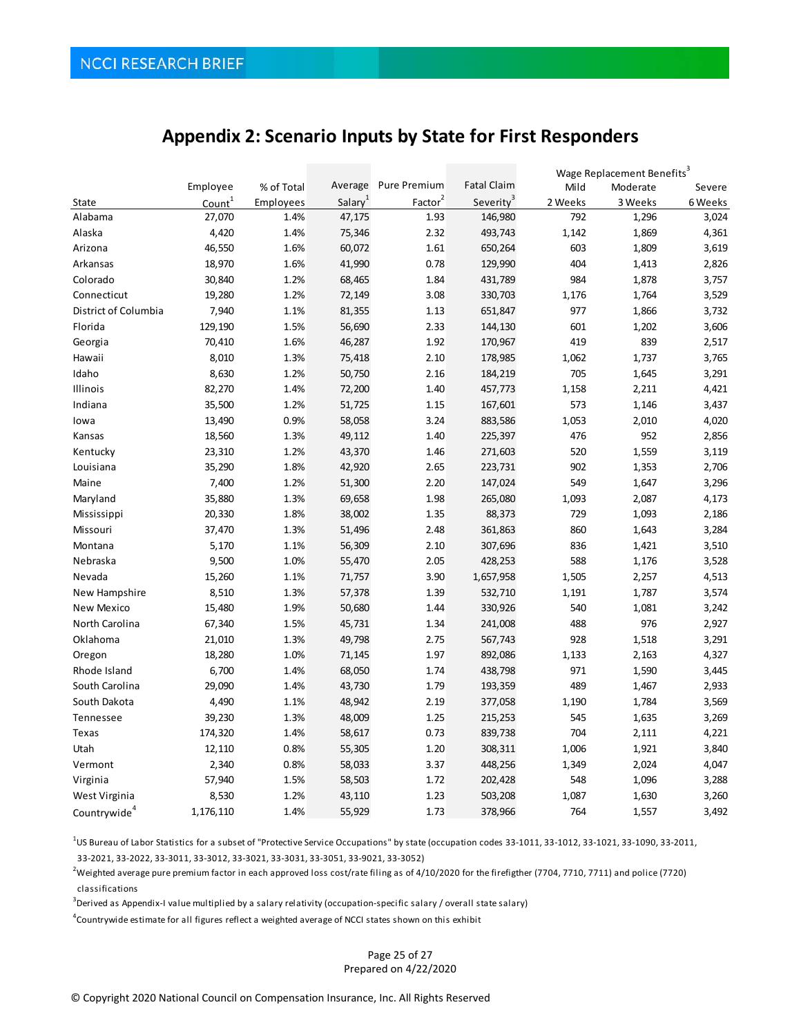## **Appendix 2: Scenario Inputs by State for First Responders**

|                          |           |            |                     |                     |                       |         | Wage Replacement Benefits <sup>3</sup> |         |
|--------------------------|-----------|------------|---------------------|---------------------|-----------------------|---------|----------------------------------------|---------|
|                          | Employee  | % of Total | Average             | <b>Pure Premium</b> | <b>Fatal Claim</b>    | Mild    | Moderate                               | Severe  |
| State                    | $Count+$  | Employees  | Salary <sup>1</sup> | Factor <sup>2</sup> | Severity <sup>3</sup> | 2 Weeks | 3 Weeks                                | 6 Weeks |
| Alabama                  | 27,070    | 1.4%       | 47,175              | 1.93                | 146,980               | 792     | 1,296                                  | 3,024   |
| Alaska                   | 4,420     | 1.4%       | 75,346              | 2.32                | 493,743               | 1,142   | 1,869                                  | 4,361   |
| Arizona                  | 46,550    | 1.6%       | 60,072              | 1.61                | 650,264               | 603     | 1,809                                  | 3,619   |
| Arkansas                 | 18,970    | 1.6%       | 41,990              | 0.78                | 129,990               | 404     | 1,413                                  | 2,826   |
| Colorado                 | 30,840    | 1.2%       | 68,465              | 1.84                | 431,789               | 984     | 1,878                                  | 3,757   |
| Connecticut              | 19,280    | 1.2%       | 72,149              | 3.08                | 330,703               | 1,176   | 1,764                                  | 3,529   |
| District of Columbia     | 7,940     | 1.1%       | 81,355              | 1.13                | 651,847               | 977     | 1,866                                  | 3,732   |
| Florida                  | 129,190   | 1.5%       | 56,690              | 2.33                | 144,130               | 601     | 1,202                                  | 3,606   |
| Georgia                  | 70,410    | 1.6%       | 46,287              | 1.92                | 170,967               | 419     | 839                                    | 2,517   |
| Hawaii                   | 8,010     | 1.3%       | 75,418              | 2.10                | 178,985               | 1,062   | 1,737                                  | 3,765   |
| Idaho                    | 8,630     | 1.2%       | 50,750              | 2.16                | 184,219               | 705     | 1,645                                  | 3,291   |
| Illinois                 | 82,270    | 1.4%       | 72,200              | 1.40                | 457,773               | 1,158   | 2,211                                  | 4,421   |
| Indiana                  | 35,500    | 1.2%       | 51,725              | 1.15                | 167,601               | 573     | 1,146                                  | 3,437   |
| lowa                     | 13,490    | 0.9%       | 58,058              | 3.24                | 883,586               | 1,053   | 2,010                                  | 4,020   |
| Kansas                   | 18,560    | 1.3%       | 49,112              | 1.40                | 225,397               | 476     | 952                                    | 2,856   |
| Kentucky                 | 23,310    | 1.2%       | 43,370              | 1.46                | 271,603               | 520     | 1,559                                  | 3,119   |
| Louisiana                | 35,290    | 1.8%       | 42,920              | 2.65                | 223,731               | 902     | 1,353                                  | 2,706   |
| Maine                    | 7,400     | 1.2%       | 51,300              | 2.20                | 147,024               | 549     | 1,647                                  | 3,296   |
| Maryland                 | 35,880    | 1.3%       | 69,658              | 1.98                | 265,080               | 1,093   | 2,087                                  | 4,173   |
| Mississippi              | 20,330    | 1.8%       | 38,002              | 1.35                | 88,373                | 729     | 1,093                                  | 2,186   |
| Missouri                 | 37,470    | 1.3%       | 51,496              | 2.48                | 361,863               | 860     | 1,643                                  | 3,284   |
| Montana                  | 5,170     | 1.1%       | 56,309              | 2.10                | 307,696               | 836     | 1,421                                  | 3,510   |
| Nebraska                 | 9,500     | 1.0%       | 55,470              | 2.05                | 428,253               | 588     | 1,176                                  | 3,528   |
| Nevada                   | 15,260    | 1.1%       | 71,757              | 3.90                | 1,657,958             | 1,505   | 2,257                                  | 4,513   |
| New Hampshire            | 8,510     | 1.3%       | 57,378              | 1.39                | 532,710               | 1,191   | 1,787                                  | 3,574   |
| New Mexico               | 15,480    | 1.9%       | 50,680              | 1.44                | 330,926               | 540     | 1,081                                  | 3,242   |
| North Carolina           | 67,340    | 1.5%       | 45,731              | 1.34                | 241,008               | 488     | 976                                    | 2,927   |
| Oklahoma                 | 21,010    | 1.3%       | 49,798              | 2.75                | 567,743               | 928     | 1,518                                  | 3,291   |
| Oregon                   | 18,280    | 1.0%       | 71,145              | 1.97                | 892,086               | 1,133   | 2,163                                  | 4,327   |
| Rhode Island             | 6,700     | 1.4%       | 68,050              | 1.74                | 438,798               | 971     | 1,590                                  | 3,445   |
| South Carolina           | 29,090    | 1.4%       | 43,730              | 1.79                | 193,359               | 489     | 1,467                                  | 2,933   |
| South Dakota             | 4,490     | 1.1%       | 48,942              | 2.19                | 377,058               | 1,190   | 1,784                                  | 3,569   |
| Tennessee                | 39,230    | 1.3%       | 48,009              | 1.25                | 215,253               | 545     | 1,635                                  | 3,269   |
| Texas                    | 174,320   | 1.4%       | 58,617              | 0.73                | 839,738               | 704     | 2,111                                  | 4,221   |
| Utah                     | 12,110    | 0.8%       | 55,305              | 1.20                | 308,311               | 1,006   | 1,921                                  | 3,840   |
| Vermont                  | 2,340     | 0.8%       | 58,033              | 3.37                | 448,256               | 1,349   | 2,024                                  | 4,047   |
| Virginia                 | 57,940    | 1.5%       | 58,503              | 1.72                | 202,428               | 548     | 1,096                                  | 3,288   |
| West Virginia            | 8,530     | 1.2%       | 43,110              | 1.23                | 503,208               | 1,087   | 1,630                                  | 3,260   |
| Countrywide <sup>4</sup> | 1,176,110 | 1.4%       | 55,929              | 1.73                | 378,966               | 764     | 1,557                                  | 3,492   |

1 US Bureau of Labor Statistics for a subset of "Protective Service Occupations" by state (occupation codes 33‐1011, 33‐1012, 33‐1021, 33‐1090, 33‐2011,

33‐2021, 33‐2022, 33‐3011, 33‐3012, 33‐3021, 33‐3031, 33‐3051, 33‐9021, 33‐3052)

 $^2$ Weighted average pure premium factor in each approved loss cost/rate filing as of 4/10/2020 for the firefigther (7704, 7710, 7711) and police (7720) classi fications

 $^3$ Derived as Appendix-I value multiplied by a salary relativity (occupation-specific salary / overall state salary)

 ${}^{4}$ Countrywide estimate for all figures reflect a weighted average of NCCI states shown on this exhibit

#### Page 25 of 27 Prepared on 4/22/2020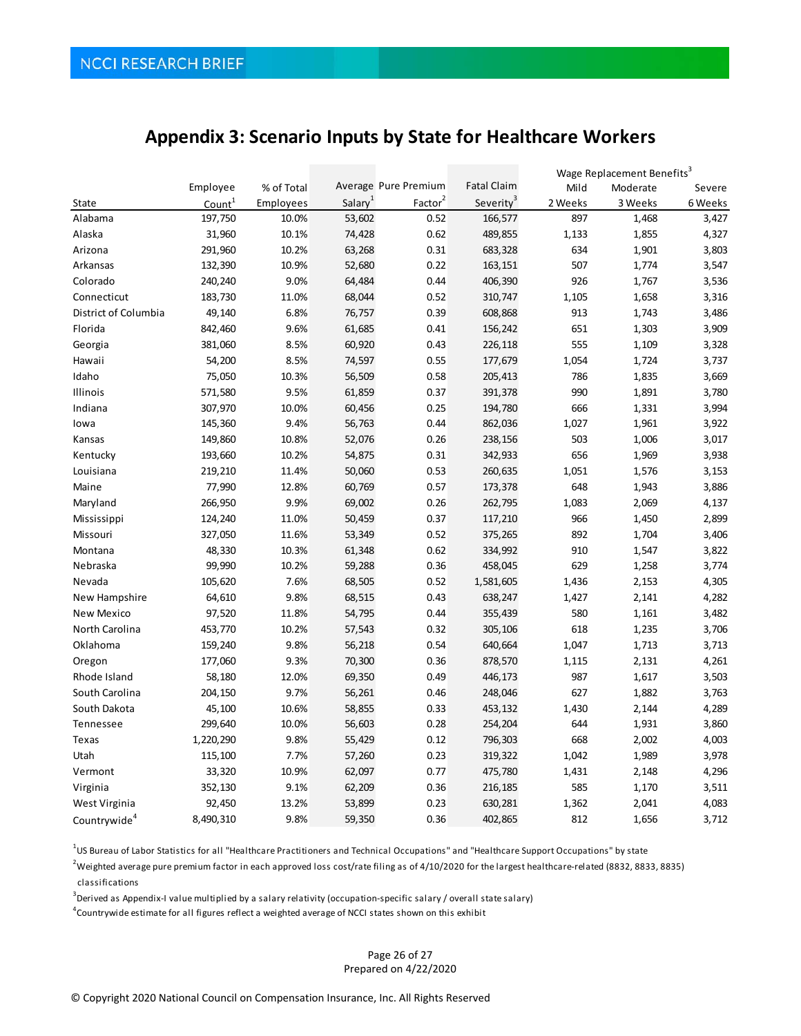# **Appendix 3: Scenario Inputs by State for Healthcare Workers**

|                          |                    |            |                        |                      |                       | Wage Replacement Benefits <sup>3</sup> |          |         |
|--------------------------|--------------------|------------|------------------------|----------------------|-----------------------|----------------------------------------|----------|---------|
|                          | Employee           | % of Total |                        | Average Pure Premium | <b>Fatal Claim</b>    | Mild                                   | Moderate | Severe  |
| State                    | Count <sup>1</sup> | Employees  | $S$ alary <sup>1</sup> | Factor <sup>2</sup>  | Severity <sup>3</sup> | 2 Weeks                                | 3 Weeks  | 6 Weeks |
| Alabama                  | 197,750            | 10.0%      | 53,602                 | 0.52                 | 166,577               | 897                                    | 1,468    | 3,427   |
| Alaska                   | 31,960             | 10.1%      | 74,428                 | 0.62                 | 489,855               | 1,133                                  | 1,855    | 4,327   |
| Arizona                  | 291,960            | 10.2%      | 63,268                 | 0.31                 | 683,328               | 634                                    | 1,901    | 3,803   |
| Arkansas                 | 132,390            | 10.9%      | 52,680                 | 0.22                 | 163,151               | 507                                    | 1,774    | 3,547   |
| Colorado                 | 240,240            | 9.0%       | 64,484                 | 0.44                 | 406,390               | 926                                    | 1,767    | 3,536   |
| Connecticut              | 183,730            | 11.0%      | 68,044                 | 0.52                 | 310,747               | 1,105                                  | 1,658    | 3,316   |
| District of Columbia     | 49,140             | 6.8%       | 76,757                 | 0.39                 | 608,868               | 913                                    | 1,743    | 3,486   |
| Florida                  | 842,460            | 9.6%       | 61,685                 | 0.41                 | 156,242               | 651                                    | 1,303    | 3,909   |
| Georgia                  | 381,060            | 8.5%       | 60,920                 | 0.43                 | 226,118               | 555                                    | 1,109    | 3,328   |
| Hawaii                   | 54,200             | 8.5%       | 74,597                 | 0.55                 | 177,679               | 1,054                                  | 1,724    | 3,737   |
| Idaho                    | 75,050             | 10.3%      | 56,509                 | 0.58                 | 205,413               | 786                                    | 1,835    | 3,669   |
| Illinois                 | 571,580            | 9.5%       | 61,859                 | 0.37                 | 391,378               | 990                                    | 1,891    | 3,780   |
| Indiana                  | 307,970            | 10.0%      | 60,456                 | 0.25                 | 194,780               | 666                                    | 1,331    | 3,994   |
| lowa                     | 145,360            | 9.4%       | 56,763                 | 0.44                 | 862,036               | 1,027                                  | 1,961    | 3,922   |
| Kansas                   | 149,860            | 10.8%      | 52,076                 | 0.26                 | 238,156               | 503                                    | 1,006    | 3,017   |
| Kentucky                 | 193,660            | 10.2%      | 54,875                 | 0.31                 | 342,933               | 656                                    | 1,969    | 3,938   |
| Louisiana                | 219,210            | 11.4%      | 50,060                 | 0.53                 | 260,635               | 1,051                                  | 1,576    | 3,153   |
| Maine                    | 77,990             | 12.8%      | 60,769                 | 0.57                 | 173,378               | 648                                    | 1,943    | 3,886   |
| Maryland                 | 266,950            | 9.9%       | 69,002                 | 0.26                 | 262,795               | 1,083                                  | 2,069    | 4,137   |
| Mississippi              | 124,240            | 11.0%      | 50,459                 | 0.37                 | 117,210               | 966                                    | 1,450    | 2,899   |
| Missouri                 | 327,050            | 11.6%      | 53,349                 | 0.52                 | 375,265               | 892                                    | 1,704    | 3,406   |
| Montana                  | 48,330             | 10.3%      | 61,348                 | 0.62                 | 334,992               | 910                                    | 1,547    | 3,822   |
| Nebraska                 | 99,990             | 10.2%      | 59,288                 | 0.36                 | 458,045               | 629                                    | 1,258    | 3,774   |
| Nevada                   | 105,620            | 7.6%       | 68,505                 | 0.52                 | 1,581,605             | 1,436                                  | 2,153    | 4,305   |
| New Hampshire            | 64,610             | 9.8%       | 68,515                 | 0.43                 | 638,247               | 1,427                                  | 2,141    | 4,282   |
| New Mexico               | 97,520             | 11.8%      | 54,795                 | 0.44                 | 355,439               | 580                                    | 1,161    | 3,482   |
| North Carolina           | 453,770            | 10.2%      | 57,543                 | 0.32                 | 305,106               | 618                                    | 1,235    | 3,706   |
| Oklahoma                 | 159,240            | 9.8%       | 56,218                 | 0.54                 | 640,664               | 1,047                                  | 1,713    | 3,713   |
| Oregon                   | 177,060            | 9.3%       | 70,300                 | 0.36                 | 878,570               | 1,115                                  | 2,131    | 4,261   |
| Rhode Island             | 58,180             | 12.0%      | 69,350                 | 0.49                 | 446,173               | 987                                    | 1,617    | 3,503   |
| South Carolina           | 204,150            | 9.7%       | 56,261                 | 0.46                 | 248,046               | 627                                    | 1,882    | 3,763   |
| South Dakota             | 45,100             | 10.6%      | 58,855                 | 0.33                 | 453,132               | 1,430                                  | 2,144    | 4,289   |
| Tennessee                | 299,640            | 10.0%      | 56,603                 | 0.28                 | 254,204               | 644                                    | 1,931    | 3,860   |
| Texas                    | 1,220,290          | 9.8%       | 55,429                 | 0.12                 | 796,303               | 668                                    | 2,002    | 4,003   |
| Utah                     | 115,100            | 7.7%       | 57,260                 | 0.23                 | 319,322               | 1,042                                  | 1,989    | 3,978   |
| Vermont                  | 33,320             | 10.9%      | 62,097                 | 0.77                 | 475,780               | 1,431                                  | 2,148    | 4,296   |
| Virginia                 | 352,130            | 9.1%       | 62,209                 | 0.36                 | 216,185               | 585                                    | 1,170    | 3,511   |
| West Virginia            | 92,450             | 13.2%      | 53,899                 | 0.23                 | 630,281               | 1,362                                  | 2,041    | 4,083   |
| Countrywide <sup>4</sup> | 8,490,310          | 9.8%       | 59,350                 | 0.36                 | 402,865               | 812                                    | 1,656    | 3,712   |

<sup>1</sup>US Bureau of Labor Statistics for all "Healthcare Practitioners and Technical Occupations" and "Healthcare Support Occupations" by state

 $^2$ Weighted average pure premium factor in each approved loss cost/rate filing as of 4/10/2020 for the largest healthcare-related (8832, 8833, 8835) classifications

3 Derived as Appendix-I value multiplied by a salary relativity (occupation-specific salary / overall state salary)

 ${}^{4}$ Countrywide estimate for all figures reflect a weighted average of NCCI states shown on this exhibit

#### Page 26 of 27 Prepared on 4/22/2020